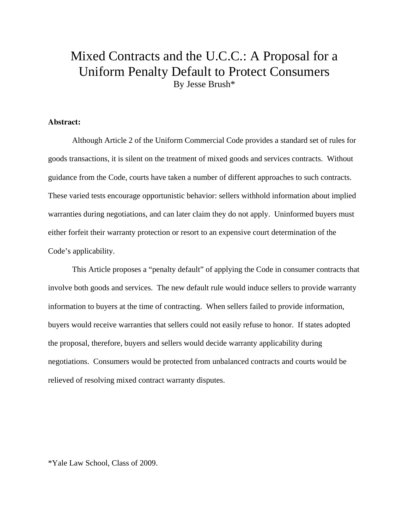# Mixed Contracts and the U.C.C.: A Proposal for a Uniform Penalty Default to Protect Consumers By Jesse Brush\*

## **Abstract:**

 Although Article 2 of the Uniform Commercial Code provides a standard set of rules for goods transactions, it is silent on the treatment of mixed goods and services contracts. Without guidance from the Code, courts have taken a number of different approaches to such contracts. These varied tests encourage opportunistic behavior: sellers withhold information about implied warranties during negotiations, and can later claim they do not apply. Uninformed buyers must either forfeit their warranty protection or resort to an expensive court determination of the Code's applicability.

This Article proposes a "penalty default" of applying the Code in consumer contracts that involve both goods and services. The new default rule would induce sellers to provide warranty information to buyers at the time of contracting. When sellers failed to provide information, buyers would receive warranties that sellers could not easily refuse to honor. If states adopted the proposal, therefore, buyers and sellers would decide warranty applicability during negotiations. Consumers would be protected from unbalanced contracts and courts would be relieved of resolving mixed contract warranty disputes.

\*Yale Law School, Class of 2009.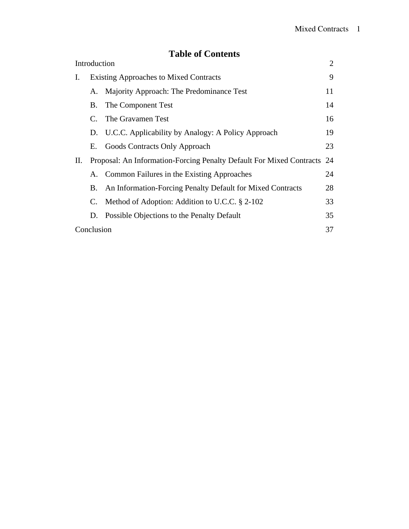## **Table of Contents**

| <b>Table of Contents</b> |                                               |                                                                         |    |
|--------------------------|-----------------------------------------------|-------------------------------------------------------------------------|----|
| Introduction             |                                               |                                                                         | 2  |
| I.                       | <b>Existing Approaches to Mixed Contracts</b> |                                                                         | 9  |
| П.                       |                                               | A. Majority Approach: The Predominance Test                             | 11 |
|                          | В.                                            | The Component Test                                                      | 14 |
|                          | C.                                            | The Gravamen Test                                                       | 16 |
|                          |                                               | D. U.C.C. Applicability by Analogy: A Policy Approach                   | 19 |
|                          | Е.                                            | Goods Contracts Only Approach                                           | 23 |
|                          |                                               | Proposal: An Information-Forcing Penalty Default For Mixed Contracts 24 |    |
|                          |                                               | A. Common Failures in the Existing Approaches                           | 24 |
|                          | В.                                            | An Information-Forcing Penalty Default for Mixed Contracts              | 28 |
|                          | C.                                            | Method of Adoption: Addition to U.C.C. § 2-102                          | 33 |
|                          |                                               | D. Possible Objections to the Penalty Default                           | 35 |
|                          | Conclusion                                    |                                                                         |    |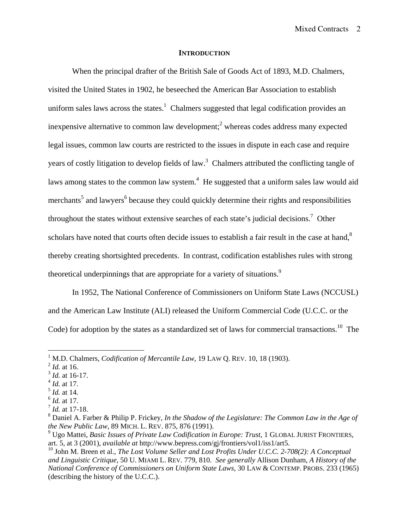### **INTRODUCTION**

When the principal drafter of the British Sale of Goods Act of 1893, M.D. Chalmers, visited the United States in 1902, he beseeched the American Bar Association to establish uniform sales laws across the states.<sup>1</sup> Chalmers suggested that legal codification provides an inexpensive alternative to common law development;<sup>2</sup> whereas codes address many expected legal issues, common law courts are restricted to the issues in dispute in each case and require years of costly litigation to develop fields of law.<sup>3</sup> Chalmers attributed the conflicting tangle of laws among states to the common law system.<sup>4</sup> He suggested that a uniform sales law would aid merchants<sup>5</sup> and lawyers<sup>6</sup> because they could quickly determine their rights and responsibilities throughout the states without extensive searches of each state's judicial decisions.<sup>7</sup> Other scholars have noted that courts often decide issues to establish a fair result in the case at hand,<sup>8</sup> thereby creating shortsighted precedents. In contrast, codification establishes rules with strong theoretical underpinnings that are appropriate for a variety of situations.<sup>9</sup>

In 1952, The National Conference of Commissioners on Uniform State Laws (NCCUSL) and the American Law Institute (ALI) released the Uniform Commercial Code (U.C.C. or the Code) for adoption by the states as a standardized set of laws for commercial transactions.<sup>10</sup> The

<u>.</u>

- <sup>3</sup> *Id.* at 16-17.
- $^{4}$  *Id.* at 17.
- <sup>5</sup> *Id.* at 14.

<sup>&</sup>lt;sup>1</sup> M.D. Chalmers, *Codification of Mercantile Law*, 19 LAW Q. REV. 10, 18 (1903).

<sup>2</sup> *Id.* at 16.

<sup>6</sup> *Id.* at 17.

<sup>7</sup> *Id.* at 17-18.

<sup>8</sup> Daniel A. Farber & Philip P. Frickey, *In the Shadow of the Legislature: The Common Law in the Age of the New Public Law*, 89 MICH. L. REV. 875, 876 (1991).

<sup>&</sup>lt;sup>9</sup> Ugo Mattei, *Basic Issues of Private Law Codification in Europe: Trust*, 1 GLOBAL JURIST FRONTIERS, art. 5, at 3 (2001), *available at* http://www.bepress.com/gj/frontiers/vol1/iss1/art5.

<sup>&</sup>lt;sup>10</sup> John M. Breen et al., *The Lost Volume Seller and Lost Profits Under U.C.C. 2-708(2): A Conceptual and Linguistic Critique*, 50 U. MIAMI L. REV. 779, 810. *See generally* Allison Dunham, *A History of the National Conference of Commissioners on Uniform State Laws*, 30 LAW & CONTEMP. PROBS. 233 (1965) (describing the history of the U.C.C.).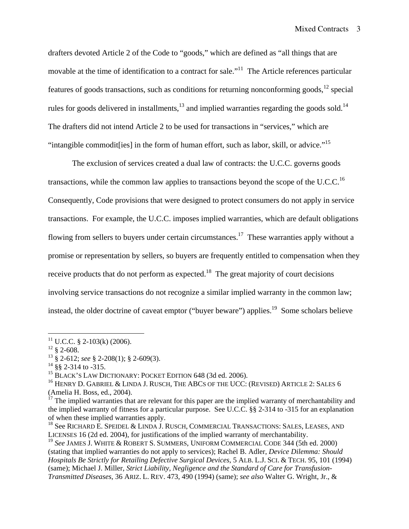drafters devoted Article 2 of the Code to "goods," which are defined as "all things that are movable at the time of identification to a contract for sale.<sup>"11</sup> The Article references particular features of goods transactions, such as conditions for returning nonconforming goods,  $^{12}$  special rules for goods delivered in installments, $13$  and implied warranties regarding the goods sold.<sup>14</sup> The drafters did not intend Article 2 to be used for transactions in "services," which are "intangible commodit[ies] in the form of human effort, such as labor, skill, or advice."15

The exclusion of services created a dual law of contracts: the U.C.C. governs goods transactions, while the common law applies to transactions beyond the scope of the U.C.C.<sup>16</sup> Consequently, Code provisions that were designed to protect consumers do not apply in service transactions. For example, the U.C.C. imposes implied warranties, which are default obligations flowing from sellers to buyers under certain circumstances.<sup>17</sup> These warranties apply without a promise or representation by sellers, so buyers are frequently entitled to compensation when they receive products that do not perform as expected.<sup>18</sup> The great majority of court decisions involving service transactions do not recognize a similar implied warranty in the common law; instead, the older doctrine of caveat emptor ("buyer beware") applies.<sup>19</sup> Some scholars believe

 $11$  U.C.C. § 2-103(k) (2006).

 $12 \text{ }$  § 2-608.

<sup>13 § 2-612;</sup> *see* § 2-208(1); § 2-609(3).

 $14$  §§ 2-314 to -315.

<sup>&</sup>lt;sup>15</sup> BLACK'S LAW DICTIONARY: POCKET EDITION 648 (3d ed. 2006).

<sup>&</sup>lt;sup>16</sup> HENRY D. GABRIEL & LINDA J. RUSCH, THE ABCS OF THE UCC: (REVISED) ARTICLE 2: SALES 6 (Amelia H. Boss, ed., 2004).

 $17$  The implied warranties that are relevant for this paper are the implied warranty of merchantability and the implied warranty of fitness for a particular purpose. See U.C.C. §§ 2-314 to -315 for an explanation of when these implied warranties apply.

<sup>&</sup>lt;sup>18</sup> See RICHARD E. SPEIDEL & LINDA J. RUSCH, COMMERCIAL TRANSACTIONS: SALES, LEASES, AND LICENSES 16 (2d ed. 2004), for justifications of the implied warranty of merchantability.

<sup>19</sup> *See* JAMES J. WHITE & ROBERT S. SUMMERS, UNIFORM COMMERCIAL CODE 344 (5th ed. 2000) (stating that implied warranties do not apply to services); Rachel B. Adler, *Device Dilemma: Should Hospitals Be Strictly for Retailing Defective Surgical Devices*, 5 ALB. L.J. SCI. & TECH. 95, 101 (1994) (same); Michael J. Miller, *Strict Liability, Negligence and the Standard of Care for Transfusion-Transmitted Diseases*, 36 ARIZ. L. REV. 473, 490 (1994) (same); *see also* Walter G. Wright, Jr., &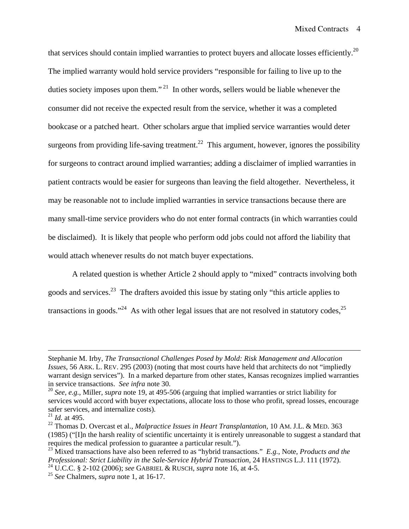that services should contain implied warranties to protect buyers and allocate losses efficiently.<sup>20</sup> The implied warranty would hold service providers "responsible for failing to live up to the duties society imposes upon them."<sup>21</sup> In other words, sellers would be liable whenever the consumer did not receive the expected result from the service, whether it was a completed bookcase or a patched heart. Other scholars argue that implied service warranties would deter surgeons from providing life-saving treatment.<sup>22</sup> This argument, however, ignores the possibility for surgeons to contract around implied warranties; adding a disclaimer of implied warranties in patient contracts would be easier for surgeons than leaving the field altogether. Nevertheless, it may be reasonable not to include implied warranties in service transactions because there are many small-time service providers who do not enter formal contracts (in which warranties could be disclaimed). It is likely that people who perform odd jobs could not afford the liability that would attach whenever results do not match buyer expectations.

A related question is whether Article 2 should apply to "mixed" contracts involving both goods and services.<sup>23</sup> The drafters avoided this issue by stating only "this article applies to transactions in goods."<sup>24</sup> As with other legal issues that are not resolved in statutory codes,  $2^5$ 

<u>.</u>

Stephanie M. Irby, *The Transactional Challenges Posed by Mold: Risk Management and Allocation Issues*, 56 ARK. L. REV. 295 (2003) (noting that most courts have held that architects do not "impliedly warrant design services"). In a marked departure from other states, Kansas recognizes implied warranties in service transactions. *See infra* note 30.

<sup>20</sup> *See, e.g.*, Miller, *supra* note 19, at 495-506 (arguing that implied warranties or strict liability for services would accord with buyer expectations, allocate loss to those who profit, spread losses, encourage safer services, and internalize costs).

 $^{21}$  *Id.* at 495.

<sup>22</sup> Thomas D. Overcast et al., *Malpractice Issues in Heart Transplantation*, 10 AM. J.L. & MED. 363 (1985) ("[I]n the harsh reality of scientific uncertainty it is entirely unreasonable to suggest a standard that requires the medical profession to guarantee a particular result.").

<sup>23</sup> Mixed transactions have also been referred to as "hybrid transactions." *E.g.*, Note, *Products and the Professional: Strict Liability in the Sale-Service Hybrid Transaction*, 24 HASTINGS L.J. 111 (1972). 24 U.C.C. § 2-102 (2006); *see* GABRIEL & RUSCH, *supra* note 16, at 4-5.

<sup>25</sup> *See* Chalmers, *supra* note 1, at 16-17.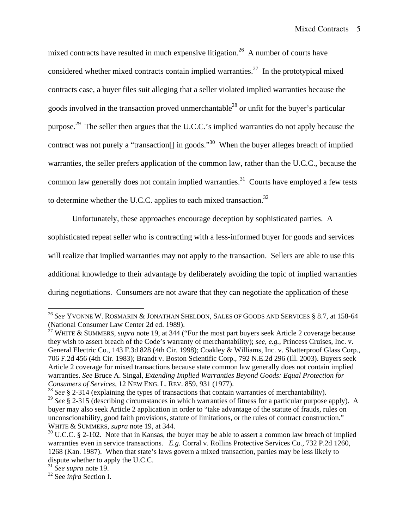mixed contracts have resulted in much expensive litigation.<sup>26</sup> A number of courts have considered whether mixed contracts contain implied warranties.<sup>27</sup> In the prototypical mixed contracts case, a buyer files suit alleging that a seller violated implied warranties because the goods involved in the transaction proved unmerchantable<sup>28</sup> or unfit for the buyer's particular purpose.29 The seller then argues that the U.C.C.'s implied warranties do not apply because the contract was not purely a "transaction<sup>[]</sup> in goods."<sup>30</sup> When the buyer alleges breach of implied warranties, the seller prefers application of the common law, rather than the U.C.C., because the common law generally does not contain implied warranties.<sup>31</sup> Courts have employed a few tests to determine whether the U.C.C. applies to each mixed transaction. $32$ 

Unfortunately, these approaches encourage deception by sophisticated parties. A sophisticated repeat seller who is contracting with a less-informed buyer for goods and services will realize that implied warranties may not apply to the transaction. Sellers are able to use this additional knowledge to their advantage by deliberately avoiding the topic of implied warranties during negotiations. Consumers are not aware that they can negotiate the application of these

<sup>28</sup> See § 2-314 (explaining the types of transactions that contain warranties of merchantability).

<sup>26</sup> *See* YVONNE W. ROSMARIN & JONATHAN SHELDON, SALES OF GOODS AND SERVICES § 8.7, at 158-64 (National Consumer Law Center 2d ed. 1989).

<sup>&</sup>lt;sup>27</sup> WHITE & SUMMERS, *supra* note 19, at 344 ("For the most part buyers seek Article 2 coverage because they wish to assert breach of the Code's warranty of merchantability); *see, e.g.*, Princess Cruises, Inc. v. General Electric Co., 143 F.3d 828 (4th Cir. 1998); Coakley & Williams, Inc. v. Shatterproof Glass Corp., 706 F.2d 456 (4th Cir. 1983); Brandt v. Boston Scientific Corp., 792 N.E.2d 296 (Ill. 2003). Buyers seek Article 2 coverage for mixed transactions because state common law generally does not contain implied warranties. *See* Bruce A. Singal, *Extending Implied Warranties Beyond Goods: Equal Protection for Consumers of Services*, 12 NEW ENG. L. REV. 859, 931 (1977).

<sup>&</sup>lt;sup>29</sup> See § 2-315 (describing circumstances in which warranties of fitness for a particular purpose apply). A buyer may also seek Article 2 application in order to "take advantage of the statute of frauds, rules on unconscionability, good faith provisions, statute of limitations, or the rules of contract construction." WHITE & SUMMERS, *supra* note 19, at 344.

 $30$  U.C.C. § 2-102. Note that in Kansas, the buyer may be able to assert a common law breach of implied warranties even in service transactions. *E.g.* Corral v. Rollins Protective Services Co., 732 P.2d 1260, 1268 (Kan. 1987). When that state's laws govern a mixed transaction, parties may be less likely to dispute whether to apply the U.C.C.

<sup>31</sup> *See supra* note 19.

<sup>32</sup> See *infra* Section I.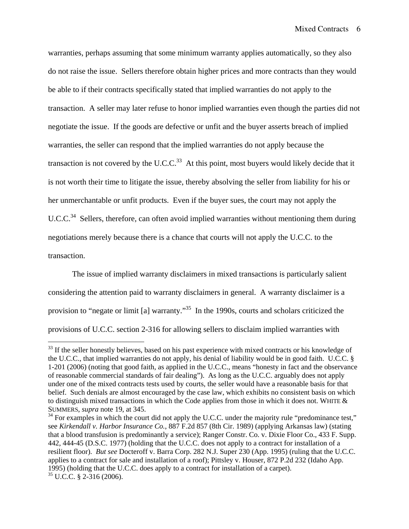warranties, perhaps assuming that some minimum warranty applies automatically, so they also do not raise the issue. Sellers therefore obtain higher prices and more contracts than they would be able to if their contracts specifically stated that implied warranties do not apply to the transaction. A seller may later refuse to honor implied warranties even though the parties did not negotiate the issue. If the goods are defective or unfit and the buyer asserts breach of implied warranties, the seller can respond that the implied warranties do not apply because the transaction is not covered by the U.C.C. $^{33}$  At this point, most buyers would likely decide that it is not worth their time to litigate the issue, thereby absolving the seller from liability for his or her unmerchantable or unfit products. Even if the buyer sues, the court may not apply the U.C.C.<sup>34</sup> Sellers, therefore, can often avoid implied warranties without mentioning them during negotiations merely because there is a chance that courts will not apply the U.C.C. to the transaction.

The issue of implied warranty disclaimers in mixed transactions is particularly salient considering the attention paid to warranty disclaimers in general. A warranty disclaimer is a provision to "negate or limit [a] warranty."35 In the 1990s, courts and scholars criticized the provisions of U.C.C. section 2-316 for allowing sellers to disclaim implied warranties with

<sup>&</sup>lt;sup>33</sup> If the seller honestly believes, based on his past experience with mixed contracts or his knowledge of the U.C.C., that implied warranties do not apply, his denial of liability would be in good faith. U.C.C. § 1-201 (2006) (noting that good faith, as applied in the U.C.C., means "honesty in fact and the observance of reasonable commercial standards of fair dealing"). As long as the U.C.C. arguably does not apply under one of the mixed contracts tests used by courts, the seller would have a reasonable basis for that belief. Such denials are almost encouraged by the case law, which exhibits no consistent basis on which to distinguish mixed transactions in which the Code applies from those in which it does not. WHITE & SUMMERS, *supra* note 19, at 345.

 $34$  For examples in which the court did not apply the U.C.C. under the majority rule "predominance test," see *Kirkendall v. Harbor Insurance Co.*, 887 F.2d 857 (8th Cir. 1989) (applying Arkansas law) (stating that a blood transfusion is predominantly a service); Ranger Constr. Co. v. Dixie Floor Co., 433 F. Supp. 442, 444-45 (D.S.C. 1977) (holding that the U.C.C. does not apply to a contract for installation of a resilient floor). *But see* Docteroff v. Barra Corp. 282 N.J. Super 230 (App. 1995) (ruling that the U.C.C. applies to a contract for sale and installation of a roof); Pittsley v. Houser, 872 P.2d 232 (Idaho App. 1995) (holding that the U.C.C. does apply to a contract for installation of a carpet). 35 U.C.C. § 2-316 (2006).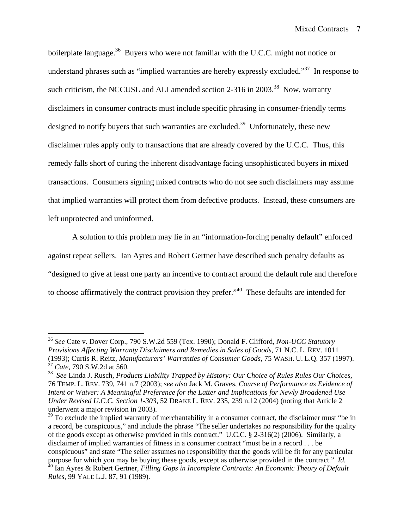boilerplate language.<sup>36</sup> Buyers who were not familiar with the U.C.C. might not notice or understand phrases such as "implied warranties are hereby expressly excluded."<sup>37</sup> In response to such criticism, the NCCUSL and ALI amended section  $2-316$  in  $2003$ <sup>38</sup>. Now, warranty disclaimers in consumer contracts must include specific phrasing in consumer-friendly terms designed to notify buyers that such warranties are excluded.<sup>39</sup> Unfortunately, these new disclaimer rules apply only to transactions that are already covered by the U.C.C. Thus, this remedy falls short of curing the inherent disadvantage facing unsophisticated buyers in mixed transactions. Consumers signing mixed contracts who do not see such disclaimers may assume that implied warranties will protect them from defective products. Instead, these consumers are left unprotected and uninformed.

A solution to this problem may lie in an "information-forcing penalty default" enforced against repeat sellers. Ian Ayres and Robert Gertner have described such penalty defaults as "designed to give at least one party an incentive to contract around the default rule and therefore to choose affirmatively the contract provision they prefer."<sup>40</sup> These defaults are intended for

<sup>39</sup> To exclude the implied warranty of merchantability in a consumer contract, the disclaimer must "be in a record, be conspicuous," and include the phrase "The seller undertakes no responsibility for the quality of the goods except as otherwise provided in this contract." U.C.C. § 2-316(2) (2006). Similarly, a disclaimer of implied warranties of fitness in a consumer contract "must be in a record . . . be conspicuous" and state "The seller assumes no responsibility that the goods will be fit for any particular purpose for which you may be buying these goods, except as otherwise provided in the contract." *Id.* 40 Ian Ayres & Robert Gertner, *Filling Gaps in Incomplete Contracts: An Economic Theory of Default* 

1

<sup>36</sup> *See* Cate v. Dover Corp., 790 S.W.2d 559 (Tex. 1990); Donald F. Clifford, *Non-UCC Statutory Provisions Affecting Warranty Disclaimers and Remedies in Sales of Goods*, 71 N.C. L. REV. 1011 (1993); Curtis R. Reitz, *Manufacturers' Warranties of Consumer Goods*, 75 WASH. U. L.Q. 357 (1997). <sup>37</sup> *Cate*, 790 S.W.2d at 560.

<sup>38</sup> *See* Linda J. Rusch, *Products Liability Trapped by History: Our Choice of Rules Rules Our Choices*, 76 TEMP. L. REV. 739, 741 n.7 (2003); *see also* Jack M. Graves, *Course of Performance as Evidence of Intent or Waiver: A Meaningful Preference for the Latter and Implications for Newly Broadened Use Under Revised U.C.C. Section 1-303*, 52 DRAKE L. REV. 235, 239 n.12 (2004) (noting that Article 2 underwent a major revision in 2003).

*Rules*, 99 YALE L.J. 87, 91 (1989).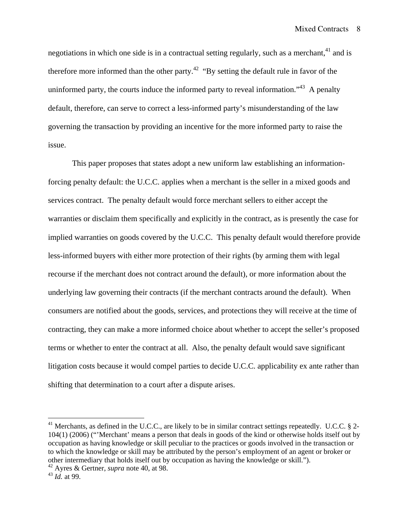negotiations in which one side is in a contractual setting regularly, such as a merchant,  $41$  and is therefore more informed than the other party.<sup>42</sup> "By setting the default rule in favor of the uninformed party, the courts induce the informed party to reveal information.<sup>43</sup> A penalty default, therefore, can serve to correct a less-informed party's misunderstanding of the law governing the transaction by providing an incentive for the more informed party to raise the issue.

This paper proposes that states adopt a new uniform law establishing an informationforcing penalty default: the U.C.C. applies when a merchant is the seller in a mixed goods and services contract. The penalty default would force merchant sellers to either accept the warranties or disclaim them specifically and explicitly in the contract, as is presently the case for implied warranties on goods covered by the U.C.C. This penalty default would therefore provide less-informed buyers with either more protection of their rights (by arming them with legal recourse if the merchant does not contract around the default), or more information about the underlying law governing their contracts (if the merchant contracts around the default). When consumers are notified about the goods, services, and protections they will receive at the time of contracting, they can make a more informed choice about whether to accept the seller's proposed terms or whether to enter the contract at all. Also, the penalty default would save significant litigation costs because it would compel parties to decide U.C.C. applicability ex ante rather than shifting that determination to a court after a dispute arises.

<sup>&</sup>lt;sup>41</sup> Merchants, as defined in the U.C.C., are likely to be in similar contract settings repeatedly. U.C.C.  $\S$  2-104(1) (2006) ("'Merchant' means a person that deals in goods of the kind or otherwise holds itself out by occupation as having knowledge or skill peculiar to the practices or goods involved in the transaction or to which the knowledge or skill may be attributed by the person's employment of an agent or broker or other intermediary that holds itself out by occupation as having the knowledge or skill.").

<sup>42</sup> Ayres & Gertner, *supra* note 40, at 98.

<sup>43</sup> *Id.* at 99.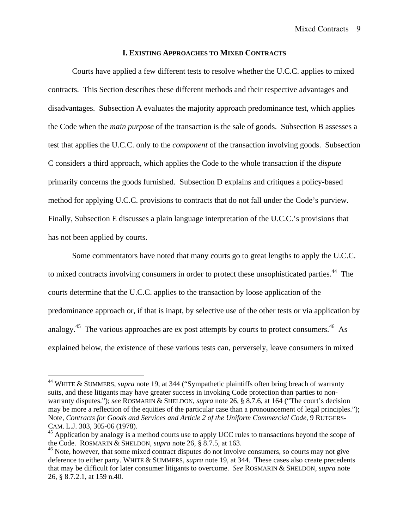### **I. EXISTING APPROACHES TO MIXED CONTRACTS**

Courts have applied a few different tests to resolve whether the U.C.C. applies to mixed contracts. This Section describes these different methods and their respective advantages and disadvantages. Subsection A evaluates the majority approach predominance test, which applies the Code when the *main purpose* of the transaction is the sale of goods. Subsection B assesses a test that applies the U.C.C. only to the *component* of the transaction involving goods. Subsection C considers a third approach, which applies the Code to the whole transaction if the *dispute* primarily concerns the goods furnished. Subsection D explains and critiques a policy-based method for applying U.C.C. provisions to contracts that do not fall under the Code's purview. Finally, Subsection E discusses a plain language interpretation of the U.C.C.'s provisions that has not been applied by courts.

Some commentators have noted that many courts go to great lengths to apply the U.C.C. to mixed contracts involving consumers in order to protect these unsophisticated parties.<sup>44</sup> The courts determine that the U.C.C. applies to the transaction by loose application of the predominance approach or, if that is inapt, by selective use of the other tests or via application by analogy.<sup>45</sup> The various approaches are ex post attempts by courts to protect consumers.<sup>46</sup> As explained below, the existence of these various tests can, perversely, leave consumers in mixed

<u>.</u>

<sup>44</sup> WHITE & SUMMERS, *supra* note 19, at 344 ("Sympathetic plaintiffs often bring breach of warranty suits, and these litigants may have greater success in invoking Code protection than parties to nonwarranty disputes."); *see* ROSMARIN & SHELDON, *supra* note 26, § 8.7.6, at 164 ("The court's decision may be more a reflection of the equities of the particular case than a pronouncement of legal principles."); Note, *Contracts for Goods and Services and Article 2 of the Uniform Commercial Code*, 9 RUTGERS-CAM. L.J. 303, 305-06 (1978).

<sup>&</sup>lt;sup>45</sup> Application by analogy is a method courts use to apply UCC rules to transactions beyond the scope of the Code. ROSMARIN & SHELDON, *supra* note 26, § 8.7.5, at 163.

<sup>&</sup>lt;sup>46</sup> Note, however, that some mixed contract disputes do not involve consumers, so courts may not give deference to either party. WHITE & SUMMERS, *supra* note 19, at 344. These cases also create precedents that may be difficult for later consumer litigants to overcome. *See* ROSMARIN & SHELDON, *supra* note 26, § 8.7.2.1, at 159 n.40.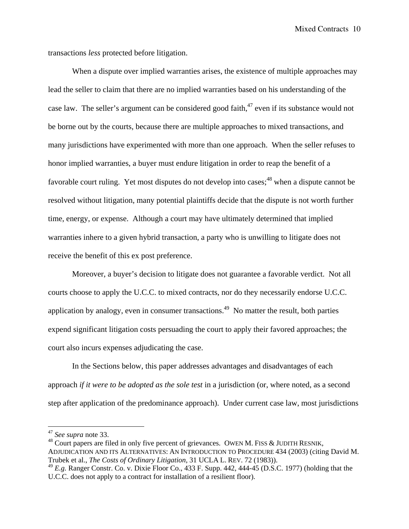transactions *less* protected before litigation.

When a dispute over implied warranties arises, the existence of multiple approaches may lead the seller to claim that there are no implied warranties based on his understanding of the case law. The seller's argument can be considered good faith, $47$  even if its substance would not be borne out by the courts, because there are multiple approaches to mixed transactions, and many jurisdictions have experimented with more than one approach. When the seller refuses to honor implied warranties, a buyer must endure litigation in order to reap the benefit of a favorable court ruling. Yet most disputes do not develop into cases;  $48$  when a dispute cannot be resolved without litigation, many potential plaintiffs decide that the dispute is not worth further time, energy, or expense. Although a court may have ultimately determined that implied warranties inhere to a given hybrid transaction, a party who is unwilling to litigate does not receive the benefit of this ex post preference.

Moreover, a buyer's decision to litigate does not guarantee a favorable verdict. Not all courts choose to apply the U.C.C. to mixed contracts, nor do they necessarily endorse U.C.C. application by analogy, even in consumer transactions.<sup>49</sup> No matter the result, both parties expend significant litigation costs persuading the court to apply their favored approaches; the court also incurs expenses adjudicating the case.

In the Sections below, this paper addresses advantages and disadvantages of each approach *if it were to be adopted as the sole test* in a jurisdiction (or, where noted, as a second step after application of the predominance approach). Under current case law, most jurisdictions

1

<sup>47</sup> *See supra* note 33.

 $^{48}$  Court papers are filed in only five percent of grievances. OWEN M. FISS & JUDITH RESNIK, ADJUDICATION AND ITS ALTERNATIVES: AN INTRODUCTION TO PROCEDURE 434 (2003) (citing David M. Trubek et al., *The Costs of Ordinary Litigation*, 31 UCLA L. REV. 72 (1983)).

<sup>49</sup> *E.g.* Ranger Constr. Co. v. Dixie Floor Co., 433 F. Supp. 442, 444-45 (D.S.C. 1977) (holding that the U.C.C. does not apply to a contract for installation of a resilient floor).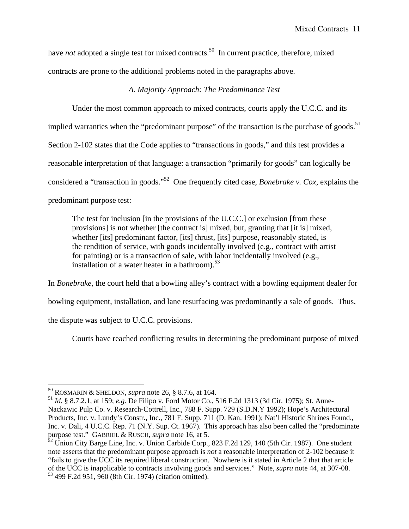have *not* adopted a single test for mixed contracts.<sup>50</sup> In current practice, therefore, mixed contracts are prone to the additional problems noted in the paragraphs above.

## *A. Majority Approach: The Predominance Test*

Under the most common approach to mixed contracts, courts apply the U.C.C. and its implied warranties when the "predominant purpose" of the transaction is the purchase of goods.<sup>51</sup> Section 2-102 states that the Code applies to "transactions in goods," and this test provides a reasonable interpretation of that language: a transaction "primarily for goods" can logically be considered a "transaction in goods."52 One frequently cited case, *Bonebrake v. Cox*, explains the predominant purpose test:

The test for inclusion [in the provisions of the U.C.C.] or exclusion [from these provisions] is not whether [the contract is] mixed, but, granting that [it is] mixed, whether [its] predominant factor, [its] thrust, [its] purpose, reasonably stated, is the rendition of service, with goods incidentally involved (e.g., contract with artist for painting) or is a transaction of sale, with labor incidentally involved (e.g., installation of a water heater in a bathroom). $53$ 

In *Bonebrake*, the court held that a bowling alley's contract with a bowling equipment dealer for bowling equipment, installation, and lane resurfacing was predominantly a sale of goods. Thus, the dispute was subject to U.C.C. provisions.

Courts have reached conflicting results in determining the predominant purpose of mixed

<sup>50</sup> ROSMARIN & SHELDON, *supra* note 26, § 8.7.6, at 164.

<sup>51</sup> *Id.* § 8.7.2.1, at 159; *e.g.* De Filipo v. Ford Motor Co., 516 F.2d 1313 (3d Cir. 1975); St. Anne-Nackawic Pulp Co. v. Research-Cottrell, Inc., 788 F. Supp. 729 (S.D.N.Y 1992); Hope's Architectural Products, Inc. v. Lundy's Constr., Inc., 781 F. Supp. 711 (D. Kan. 1991); Nat'l Historic Shrines Found., Inc. v. Dali, 4 U.C.C. Rep. 71 (N.Y. Sup. Ct. 1967). This approach has also been called the "predominate purpose test." GABRIEL & RUSCH, *supra* note 16, at 5.

 $52 \text{ Union City Barge Line}$ , Inc. v. Union Carbide Corp., 823 F.2d 129, 140 (5th Cir. 1987). One student note asserts that the predominant purpose approach is *not* a reasonable interpretation of 2-102 because it "fails to give the UCC its required liberal construction. Nowhere is it stated in Article 2 that that article of the UCC is inapplicable to contracts involving goods and services." Note, *supra* note 44, at 307-08. 53 499 F.2d 951, 960 (8th Cir. 1974) (citation omitted).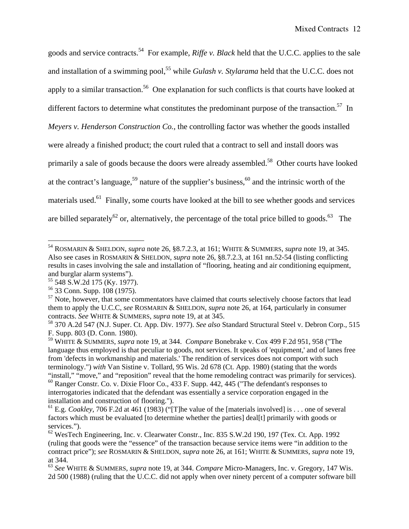goods and service contracts.<sup>54</sup> For example, *Riffe v. Black* held that the U.C.C. applies to the sale and installation of a swimming pool,<sup>55</sup> while *Gulash v. Stylarama* held that the U.C.C. does not apply to a similar transaction.<sup>56</sup> One explanation for such conflicts is that courts have looked at different factors to determine what constitutes the predominant purpose of the transaction.<sup>57</sup> In *Meyers v. Henderson Construction Co.*, the controlling factor was whether the goods installed were already a finished product; the court ruled that a contract to sell and install doors was primarily a sale of goods because the doors were already assembled.<sup>58</sup> Other courts have looked at the contract's language,<sup>59</sup> nature of the supplier's business,<sup>60</sup> and the intrinsic worth of the materials used.<sup>61</sup> Finally, some courts have looked at the bill to see whether goods and services are billed separately<sup>62</sup> or, alternatively, the percentage of the total price billed to goods.<sup>63</sup> The

1

<sup>54</sup> ROSMARIN & SHELDON, *supra* note 26, §8.7.2.3, at 161; WHITE & SUMMERS, *supra* note 19, at 345. Also see cases in ROSMARIN & SHELDON, *supra* note 26, §8.7.2.3, at 161 nn.52-54 (listing conflicting results in cases involving the sale and installation of "flooring, heating and air conditioning equipment, and burglar alarm systems").

<sup>55 548</sup> S.W.2d 175 (Ky. 1977).

<sup>56 33</sup> Conn. Supp. 108 (1975).

 $57$  Note, however, that some commentators have claimed that courts selectively choose factors that lead them to apply the U.C.C, *see* ROSMARIN & SHELDON, *supra* note 26, at 164, particularly in consumer contracts. *See* WHITE & SUMMERS, *supra* note 19, at at 345.

<sup>58 370</sup> A.2d 547 (N.J. Super. Ct. App. Div. 1977). *See also* Standard Structural Steel v. Debron Corp., 515 F. Supp. 803 (D. Conn. 1980).

<sup>59</sup> WHITE & SUMMERS, *supra* note 19, at 344. *Compare* Bonebrake v. Cox 499 F.2d 951, 958 ("The language thus employed is that peculiar to goods, not services. It speaks of 'equipment,' and of lanes free from 'defects in workmanship and materials.' The rendition of services does not comport with such terminology.") *with* Van Sistine v. Tollard, 95 Wis. 2d 678 (Ct. App. 1980) (stating that the words "install," "move," and "reposition" reveal that the home remodeling contract was primarily for services). <sup>60</sup> Ranger Constr. Co. v. Dixie Floor Co., 433 F. Supp. 442, 445 ("The defendant's responses to interrogatories indicated that the defendant was essentially a service corporation engaged in the installation and construction of flooring.").

<sup>&</sup>lt;sup>61</sup> E.g. *Coakley*, 706 F.2d at 461 (1983) ("[T]he value of the [materials involved] is . . . one of several factors which must be evaluated [to determine whether the parties] deal[t] primarily with goods or services.").

 $62$  WesTech Engineering, Inc. v. Clearwater Constr., Inc. 835 S.W.2d 190, 197 (Tex. Ct. App. 1992) (ruling that goods were the "essence" of the transaction because service items were "in addition to the contract price"); *see* ROSMARIN & SHELDON, *supra* note 26, at 161; WHITE & SUMMERS, *supra* note 19, at 344.

<sup>63</sup> *See* WHITE & SUMMERS, *supra* note 19, at 344. *Compare* Micro-Managers, Inc. v. Gregory, 147 Wis. 2d 500 (1988) (ruling that the U.C.C. did not apply when over ninety percent of a computer software bill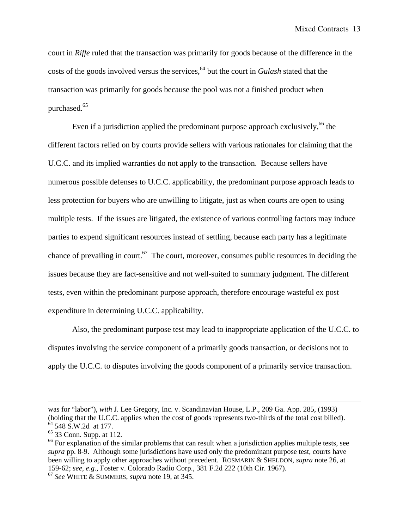court in *Riffe* ruled that the transaction was primarily for goods because of the difference in the costs of the goods involved versus the services,<sup>64</sup> but the court in *Gulash* stated that the transaction was primarily for goods because the pool was not a finished product when purchased.<sup>65</sup>

Even if a jurisdiction applied the predominant purpose approach exclusively,  $66$  the different factors relied on by courts provide sellers with various rationales for claiming that the U.C.C. and its implied warranties do not apply to the transaction. Because sellers have numerous possible defenses to U.C.C. applicability, the predominant purpose approach leads to less protection for buyers who are unwilling to litigate, just as when courts are open to using multiple tests. If the issues are litigated, the existence of various controlling factors may induce parties to expend significant resources instead of settling, because each party has a legitimate chance of prevailing in court.<sup>67</sup> The court, moreover, consumes public resources in deciding the issues because they are fact-sensitive and not well-suited to summary judgment. The different tests, even within the predominant purpose approach, therefore encourage wasteful ex post expenditure in determining U.C.C. applicability.

 Also, the predominant purpose test may lead to inappropriate application of the U.C.C. to disputes involving the service component of a primarily goods transaction, or decisions not to apply the U.C.C. to disputes involving the goods component of a primarily service transaction.

1

was for "labor"), *with* J. Lee Gregory, Inc. v. Scandinavian House, L.P., 209 Ga. App. 285, (1993) (holding that the U.C.C. applies when the cost of goods represents two-thirds of the total cost billed). <sup>64</sup> 548 S.W.2d at 177.

 $65$  33 Conn. Supp. at 112.

<sup>&</sup>lt;sup>66</sup> For explanation of the similar problems that can result when a jurisdiction applies multiple tests, see *supra* pp. 8-9. Although some jurisdictions have used only the predominant purpose test, courts have been willing to apply other approaches without precedent. ROSMARIN & SHELDON, *supra* note 26, at 159-62; *see, e.g.*, Foster v. Colorado Radio Corp., 381 F.2d 222 (10th Cir. 1967).

<sup>67</sup> *See* WHITE & SUMMERS, *supra* note 19, at 345.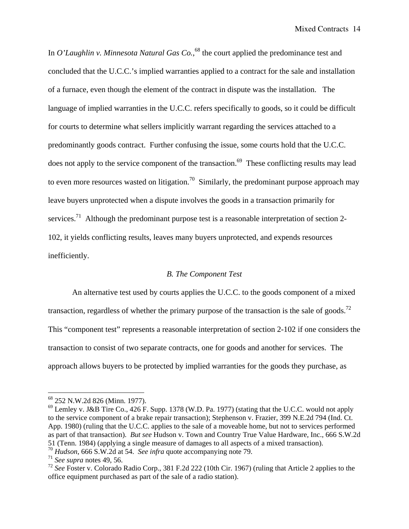In *O'Laughlin v. Minnesota Natural Gas Co.*,<sup>68</sup> the court applied the predominance test and concluded that the U.C.C.'s implied warranties applied to a contract for the sale and installation of a furnace, even though the element of the contract in dispute was the installation. The language of implied warranties in the U.C.C. refers specifically to goods, so it could be difficult for courts to determine what sellers implicitly warrant regarding the services attached to a predominantly goods contract. Further confusing the issue, some courts hold that the U.C.C. does not apply to the service component of the transaction.<sup>69</sup> These conflicting results may lead to even more resources wasted on litigation.<sup>70</sup> Similarly, the predominant purpose approach may leave buyers unprotected when a dispute involves the goods in a transaction primarily for services.<sup>71</sup> Although the predominant purpose test is a reasonable interpretation of section 2-102, it yields conflicting results, leaves many buyers unprotected, and expends resources inefficiently.

## *B. The Component Test*

An alternative test used by courts applies the U.C.C. to the goods component of a mixed transaction, regardless of whether the primary purpose of the transaction is the sale of goods.<sup>72</sup> This "component test" represents a reasonable interpretation of section 2-102 if one considers the transaction to consist of two separate contracts, one for goods and another for services. The approach allows buyers to be protected by implied warranties for the goods they purchase, as

<sup>68 252</sup> N.W.2d 826 (Minn. 1977).

 $^{69}$  Lemley v. J&B Tire Co., 426 F. Supp. 1378 (W.D. Pa. 1977) (stating that the U.C.C. would not apply to the service component of a brake repair transaction); Stephenson v. Frazier, 399 N.E.2d 794 (Ind. Ct. App. 1980) (ruling that the U.C.C. applies to the sale of a moveable home, but not to services performed as part of that transaction). *But see* Hudson v. Town and Country True Value Hardware, Inc., 666 S.W.2d 51 (Tenn. 1984) (applying a single measure of damages to all aspects of a mixed transaction).

<sup>70</sup> *Hudson*, 666 S.W.2d at 54. *See infra* quote accompanying note 79.

<sup>71</sup> *See supra* notes 49, 56.

<sup>72</sup> *See* Foster v. Colorado Radio Corp., 381 F.2d 222 (10th Cir. 1967) (ruling that Article 2 applies to the office equipment purchased as part of the sale of a radio station).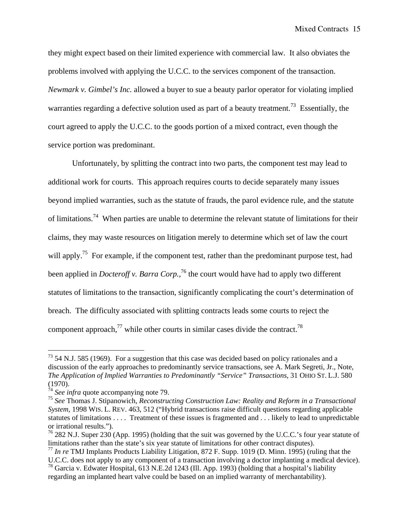they might expect based on their limited experience with commercial law. It also obviates the problems involved with applying the U.C.C. to the services component of the transaction. *Newmark v. Gimbel's Inc.* allowed a buyer to sue a beauty parlor operator for violating implied warranties regarding a defective solution used as part of a beauty treatment.<sup>73</sup> Essentially, the court agreed to apply the U.C.C. to the goods portion of a mixed contract, even though the service portion was predominant.

Unfortunately, by splitting the contract into two parts, the component test may lead to additional work for courts. This approach requires courts to decide separately many issues beyond implied warranties, such as the statute of frauds, the parol evidence rule, and the statute of limitations.<sup>74</sup> When parties are unable to determine the relevant statute of limitations for their claims, they may waste resources on litigation merely to determine which set of law the court will apply.<sup>75</sup> For example, if the component test, rather than the predominant purpose test, had been applied in *Docteroff v. Barra Corp.*, 76 the court would have had to apply two different statutes of limitations to the transaction, significantly complicating the court's determination of breach. The difficulty associated with splitting contracts leads some courts to reject the component approach, $^{77}$  while other courts in similar cases divide the contract.<sup>78</sup>

 $73$  54 N.J. 585 (1969). For a suggestion that this case was decided based on policy rationales and a discussion of the early approaches to predominantly service transactions, see A. Mark Segreti, Jr., Note, *The Application of Implied Warranties to Predominantly "Service" Transactions*, 31 OHIO ST. L.J. 580 (1970).

<sup>&</sup>lt;sup>74</sup> See infra quote accompanying note 79.

<sup>75</sup> *See* Thomas J. Stipanowich, *Reconstructing Construction Law: Reality and Reform in a Transactional System*, 1998 WIS. L. REV. 463, 512 ("Hybrid transactions raise difficult questions regarding applicable statutes of limitations . . . . Treatment of these issues is fragmented and . . . likely to lead to unpredictable or irrational results.").

 $^{76}$  282 N.J. Super 230 (App. 1995) (holding that the suit was governed by the U.C.C.'s four year statute of limitations rather than the state's six year statute of limitations for other contract disputes).

<sup>77</sup> *In re* TMJ Implants Products Liability Litigation, 872 F. Supp. 1019 (D. Minn. 1995) (ruling that the U.C.C. does not apply to any component of a transaction involving a doctor implanting a medical device).

<sup>78</sup> Garcia v. Edwater Hospital, 613 N.E.2d 1243 (Ill. App. 1993) (holding that a hospital's liability regarding an implanted heart valve could be based on an implied warranty of merchantability).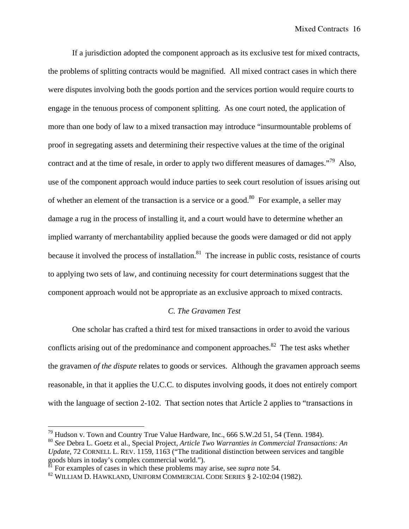If a jurisdiction adopted the component approach as its exclusive test for mixed contracts, the problems of splitting contracts would be magnified. All mixed contract cases in which there were disputes involving both the goods portion and the services portion would require courts to engage in the tenuous process of component splitting. As one court noted, the application of more than one body of law to a mixed transaction may introduce "insurmountable problems of proof in segregating assets and determining their respective values at the time of the original contract and at the time of resale, in order to apply two different measures of damages."79 Also, use of the component approach would induce parties to seek court resolution of issues arising out of whether an element of the transaction is a service or a good.<sup>80</sup> For example, a seller may damage a rug in the process of installing it, and a court would have to determine whether an implied warranty of merchantability applied because the goods were damaged or did not apply because it involved the process of installation.<sup>81</sup> The increase in public costs, resistance of courts to applying two sets of law, and continuing necessity for court determinations suggest that the component approach would not be appropriate as an exclusive approach to mixed contracts.

## *C. The Gravamen Test*

 One scholar has crafted a third test for mixed transactions in order to avoid the various conflicts arising out of the predominance and component approaches.<sup>82</sup> The test asks whether the gravamen *of the dispute* relates to goods or services. Although the gravamen approach seems reasonable, in that it applies the U.C.C. to disputes involving goods, it does not entirely comport with the language of section 2-102. That section notes that Article 2 applies to "transactions in

 $^{79}$  Hudson v. Town and Country True Value Hardware, Inc., 666 S.W.2d 51, 54 (Tenn. 1984).

<sup>80</sup> *See* Debra L. Goetz et al., Special Project, *Article Two Warranties in Commercial Transactions: An Update*, 72 CORNELL L. REV. 1159, 1163 ("The traditional distinction between services and tangible goods blurs in today's complex commercial world.").

 $\frac{81}{1}$  For examples of cases in which these problems may arise, see *supra* note 54.

<sup>82</sup> WILLIAM D. HAWKLAND, UNIFORM COMMERCIAL CODE SERIES § 2-102:04 (1982).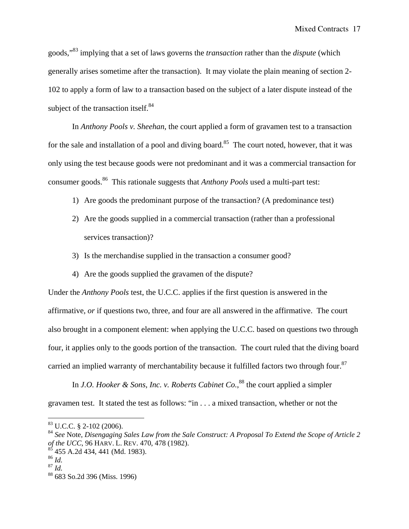goods,"83 implying that a set of laws governs the *transaction* rather than the *dispute* (which generally arises sometime after the transaction). It may violate the plain meaning of section 2- 102 to apply a form of law to a transaction based on the subject of a later dispute instead of the subject of the transaction itself.<sup>84</sup>

In *Anthony Pools v. Sheehan*, the court applied a form of gravamen test to a transaction for the sale and installation of a pool and diving board.<sup>85</sup> The court noted, however, that it was only using the test because goods were not predominant and it was a commercial transaction for consumer goods.86 This rationale suggests that *Anthony Pools* used a multi-part test:

- 1) Are goods the predominant purpose of the transaction? (A predominance test)
- 2) Are the goods supplied in a commercial transaction (rather than a professional services transaction)?
- 3) Is the merchandise supplied in the transaction a consumer good?
- 4) Are the goods supplied the gravamen of the dispute?

Under the *Anthony Pools* test, the U.C.C. applies if the first question is answered in the affirmative, *or* if questions two, three, and four are all answered in the affirmative. The court also brought in a component element: when applying the U.C.C. based on questions two through four, it applies only to the goods portion of the transaction. The court ruled that the diving board carried an implied warranty of merchantability because it fulfilled factors two through four.<sup>87</sup>

In *J.O. Hooker & Sons, Inc. v. Roberts Cabinet Co.*,<sup>88</sup> the court applied a simpler gravamen test. It stated the test as follows: "in . . . a mixed transaction, whether or not the

 $83$  U.C.C. § 2-102 (2006).

<sup>84</sup> *See* Note, *Disengaging Sales Law from the Sale Construct: A Proposal To Extend the Scope of Article 2 of the UCC*, 96 HARV. L. REV. 470, 478 (1982).

 $6$  455 A.2d 434, 441 (Md. 1983).

<sup>86</sup> *Id.*

 $^{87}$  *Id.* 

<sup>88 683</sup> So.2d 396 (Miss. 1996)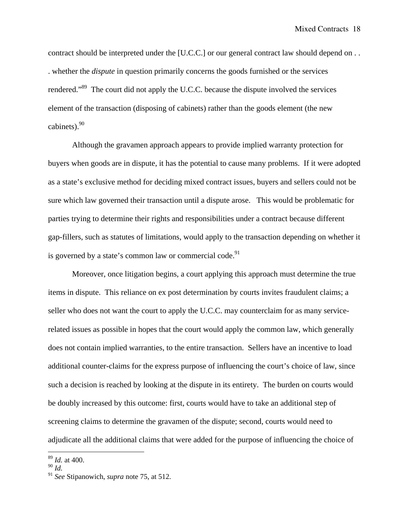contract should be interpreted under the [U.C.C.] or our general contract law should depend on . . . whether the *dispute* in question primarily concerns the goods furnished or the services rendered."89 The court did not apply the U.C.C. because the dispute involved the services element of the transaction (disposing of cabinets) rather than the goods element (the new cabinets). $90$ 

 Although the gravamen approach appears to provide implied warranty protection for buyers when goods are in dispute, it has the potential to cause many problems. If it were adopted as a state's exclusive method for deciding mixed contract issues, buyers and sellers could not be sure which law governed their transaction until a dispute arose. This would be problematic for parties trying to determine their rights and responsibilities under a contract because different gap-fillers, such as statutes of limitations, would apply to the transaction depending on whether it is governed by a state's common law or commercial code. $91$ 

Moreover, once litigation begins, a court applying this approach must determine the true items in dispute. This reliance on ex post determination by courts invites fraudulent claims; a seller who does not want the court to apply the U.C.C. may counterclaim for as many servicerelated issues as possible in hopes that the court would apply the common law, which generally does not contain implied warranties, to the entire transaction. Sellers have an incentive to load additional counter-claims for the express purpose of influencing the court's choice of law, since such a decision is reached by looking at the dispute in its entirety. The burden on courts would be doubly increased by this outcome: first, courts would have to take an additional step of screening claims to determine the gravamen of the dispute; second, courts would need to adjudicate all the additional claims that were added for the purpose of influencing the choice of

<sup>89</sup> *Id.* at 400.

<sup>90</sup> *Id.*

<sup>91</sup> *See* Stipanowich, *supra* note 75, at 512.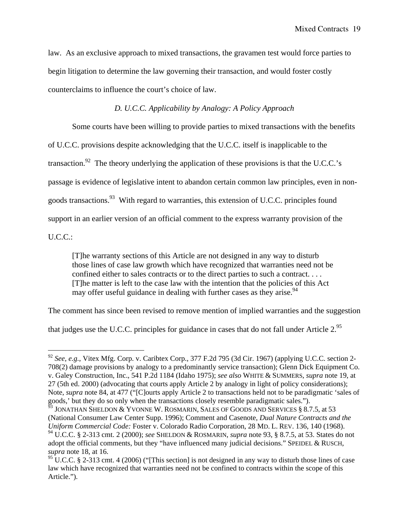law. As an exclusive approach to mixed transactions, the gravamen test would force parties to begin litigation to determine the law governing their transaction, and would foster costly counterclaims to influence the court's choice of law.

## *D. U.C.C. Applicability by Analogy: A Policy Approach*

Some courts have been willing to provide parties to mixed transactions with the benefits

of U.C.C. provisions despite acknowledging that the U.C.C. itself is inapplicable to the

transaction.<sup>92</sup> The theory underlying the application of these provisions is that the U.C.C.'s

passage is evidence of legislative intent to abandon certain common law principles, even in non-

goods transactions.<sup>93</sup> With regard to warranties, this extension of U.C.C. principles found

support in an earlier version of an official comment to the express warranty provision of the

U.C.C.:

 $\overline{a}$ 

[T]he warranty sections of this Article are not designed in any way to disturb those lines of case law growth which have recognized that warranties need not be confined either to sales contracts or to the direct parties to such a contract. . . . [T]he matter is left to the case law with the intention that the policies of this Act may offer useful guidance in dealing with further cases as they arise.<sup>94</sup>

The comment has since been revised to remove mention of implied warranties and the suggestion

that judges use the U.C.C. principles for guidance in cases that do not fall under Article 2.95

<sup>92</sup> *See, e.g.*, Vitex Mfg. Corp. v. Caribtex Corp., 377 F.2d 795 (3d Cir. 1967) (applying U.C.C. section 2- 708(2) damage provisions by analogy to a predominantly service transaction); Glenn Dick Equipment Co. v. Galey Construction, Inc., 541 P.2d 1184 (Idaho 1975); *see also* WHITE & SUMMERS, *supra* note 19, at 27 (5th ed. 2000) (advocating that courts apply Article 2 by analogy in light of policy considerations); Note, *supra* note 84, at 477 ("[C]ourts apply Article 2 to transactions held not to be paradigmatic 'sales of goods,' but they do so only when the transactions closely resemble paradigmatic sales.").

<sup>93</sup> JONATHAN SHELDON & YVONNE W. ROSMARIN, SALES OF GOODS AND SERVICES § 8.7.5, at 53 (National Consumer Law Center Supp. 1996); Comment and Casenote, *Dual Nature Contracts and the Uniform Commercial Code:* Foster v. Colorado Radio Corporation, 28 MD. L. REV. 136, 140 (1968). 94 U.C.C. § 2-313 cmt. 2 (2000); *see* SHELDON & ROSMARIN, *supra* note 93, § 8.7.5, at 53. States do not adopt the official comments, but they "have influenced many judicial decisions." SPEIDEL & RUSCH, *supra* note 18, at 16.

 $95$  U.C.C. § 2-313 cmt. 4 (2006) ("This section] is not designed in any way to disturb those lines of case law which have recognized that warranties need not be confined to contracts within the scope of this Article.").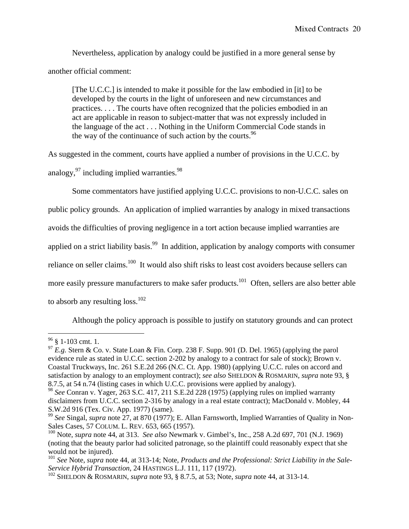Nevertheless, application by analogy could be justified in a more general sense by another official comment:

[The U.C.C.] is intended to make it possible for the law embodied in [it] to be developed by the courts in the light of unforeseen and new circumstances and practices. . . . The courts have often recognized that the policies embodied in an act are applicable in reason to subject-matter that was not expressly included in the language of the act . . . Nothing in the Uniform Commercial Code stands in the way of the continuance of such action by the courts.  $96$ 

As suggested in the comment, courts have applied a number of provisions in the U.C.C. by analogy,  $97$  including implied warranties.  $98$ 

Some commentators have justified applying U.C.C. provisions to non-U.C.C. sales on

public policy grounds. An application of implied warranties by analogy in mixed transactions

avoids the difficulties of proving negligence in a tort action because implied warranties are

applied on a strict liability basis.<sup>99</sup> In addition, application by analogy comports with consumer

reliance on seller claims.<sup>100</sup> It would also shift risks to least cost avoiders because sellers can

more easily pressure manufacturers to make safer products.<sup>101</sup> Often, sellers are also better able

to absorb any resulting  $loss.<sup>102</sup>$ 

Although the policy approach is possible to justify on statutory grounds and can protect

 $\overline{a}$  $96 \text{ }$  § 1-103 cmt. 1.

<sup>&</sup>lt;sup>97</sup> E.g. Stern & Co. v. State Loan & Fin. Corp. 238 F. Supp. 901 (D. Del. 1965) (applying the parol evidence rule as stated in U.C.C. section 2-202 by analogy to a contract for sale of stock); Brown v. Coastal Truckways, Inc. 261 S.E.2d 266 (N.C. Ct. App. 1980) (applying U.C.C. rules on accord and satisfaction by analogy to an employment contract); *see also* SHELDON & ROSMARIN, *supra* note 93, § 8.7.5, at 54 n.74 (listing cases in which U.C.C. provisions were applied by analogy).

<sup>98</sup> *See* Conran v. Yager, 263 S.C. 417, 211 S.E.2d 228 (1975) (applying rules on implied warranty disclaimers from U.C.C. section 2-316 by analogy in a real estate contract); MacDonald v. Mobley, 44 S.W.2d 916 (Tex. Civ. App. 1977) (same).

<sup>99</sup> *See* Singal, *supra* note 27, at 870 (1977); E. Allan Farnsworth, Implied Warranties of Quality in Non-Sales Cases, 57 COLUM. L. REV. 653, 665 (1957).

<sup>100</sup> Note, *supra* note 44, at 313. *See also* Newmark v. Gimbel's, Inc., 258 A.2d 697, 701 (N.J. 1969) (noting that the beauty parlor had solicited patronage, so the plaintiff could reasonably expect that she would not be injured).

<sup>101</sup> *See* Note, *supra* note 44, at 313-14; Note, *Products and the Professional: Strict Liability in the Sale-Service Hybrid Transaction*, 24 HASTINGS L.J. 111, 117 (1972).

<sup>102</sup> SHELDON & ROSMARIN, *supra* note 93, § 8.7.5, at 53; Note, *supra* note 44, at 313-14.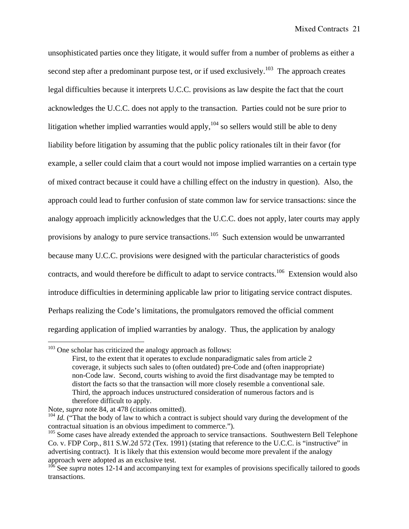unsophisticated parties once they litigate, it would suffer from a number of problems as either a second step after a predominant purpose test, or if used exclusively.<sup>103</sup> The approach creates legal difficulties because it interprets U.C.C. provisions as law despite the fact that the court acknowledges the U.C.C. does not apply to the transaction. Parties could not be sure prior to litigation whether implied warranties would apply,  $104$  so sellers would still be able to deny liability before litigation by assuming that the public policy rationales tilt in their favor (for example, a seller could claim that a court would not impose implied warranties on a certain type of mixed contract because it could have a chilling effect on the industry in question). Also, the approach could lead to further confusion of state common law for service transactions: since the analogy approach implicitly acknowledges that the U.C.C. does not apply, later courts may apply provisions by analogy to pure service transactions.<sup>105</sup> Such extension would be unwarranted because many U.C.C. provisions were designed with the particular characteristics of goods contracts, and would therefore be difficult to adapt to service contracts.<sup>106</sup> Extension would also introduce difficulties in determining applicable law prior to litigating service contract disputes. Perhaps realizing the Code's limitations, the promulgators removed the official comment regarding application of implied warranties by analogy. Thus, the application by analogy

<sup>&</sup>lt;sup>103</sup> One scholar has criticized the analogy approach as follows:

First, to the extent that it operates to exclude nonparadigmatic sales from article 2 coverage, it subjects such sales to (often outdated) pre-Code and (often inappropriate) non-Code law. Second, courts wishing to avoid the first disadvantage may be tempted to distort the facts so that the transaction will more closely resemble a conventional sale. Third, the approach induces unstructured consideration of numerous factors and is therefore difficult to apply.

Note, *supra* note 84, at 478 (citations omitted).

<sup>&</sup>lt;sup>104</sup> *Id.* ("That the body of law to which a contract is subject should vary during the development of the contractual situation is an obvious impediment to commerce.").

<sup>&</sup>lt;sup>105</sup> Some cases have already extended the approach to service transactions. Southwestern Bell Telephone Co. v. FDP Corp., 811 S.W.2d 572 (Tex. 1991) (stating that reference to the U.C.C. is "instructive" in advertising contract). It is likely that this extension would become more prevalent if the analogy approach were adopted as an exclusive test.

<sup>&</sup>lt;sup>106</sup> See *supra* notes 12-14 and accompanying text for examples of provisions specifically tailored to goods transactions.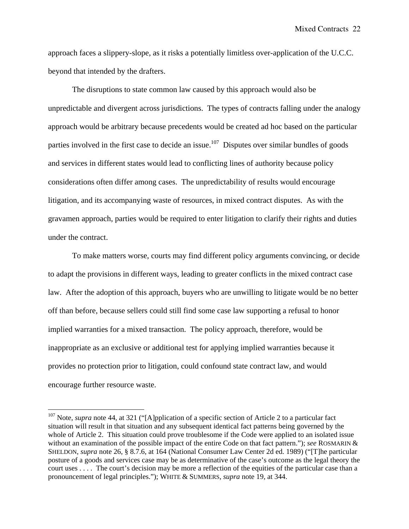approach faces a slippery-slope, as it risks a potentially limitless over-application of the U.C.C. beyond that intended by the drafters.

The disruptions to state common law caused by this approach would also be unpredictable and divergent across jurisdictions. The types of contracts falling under the analogy approach would be arbitrary because precedents would be created ad hoc based on the particular parties involved in the first case to decide an issue.<sup>107</sup> Disputes over similar bundles of goods and services in different states would lead to conflicting lines of authority because policy considerations often differ among cases. The unpredictability of results would encourage litigation, and its accompanying waste of resources, in mixed contract disputes. As with the gravamen approach, parties would be required to enter litigation to clarify their rights and duties under the contract.

To make matters worse, courts may find different policy arguments convincing, or decide to adapt the provisions in different ways, leading to greater conflicts in the mixed contract case law. After the adoption of this approach, buyers who are unwilling to litigate would be no better off than before, because sellers could still find some case law supporting a refusal to honor implied warranties for a mixed transaction. The policy approach, therefore, would be inappropriate as an exclusive or additional test for applying implied warranties because it provides no protection prior to litigation, could confound state contract law, and would encourage further resource waste.

<sup>&</sup>lt;sup>107</sup> Note, *supra* note 44, at 321 ("[A]pplication of a specific section of Article 2 to a particular fact situation will result in that situation and any subsequent identical fact patterns being governed by the whole of Article 2. This situation could prove troublesome if the Code were applied to an isolated issue without an examination of the possible impact of the entire Code on that fact pattern."); *see* ROSMARIN & SHELDON, *supra* note 26, § 8.7.6, at 164 (National Consumer Law Center 2d ed. 1989) ("[T]he particular posture of a goods and services case may be as determinative of the case's outcome as the legal theory the court uses . . . . The court's decision may be more a reflection of the equities of the particular case than a pronouncement of legal principles."); WHITE & SUMMERS, *supra* note 19, at 344.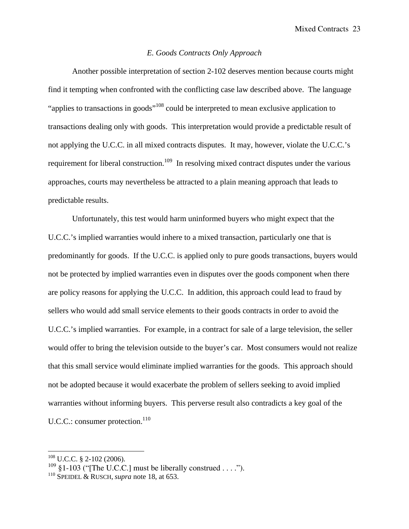## *E. Goods Contracts Only Approach*

 Another possible interpretation of section 2-102 deserves mention because courts might find it tempting when confronted with the conflicting case law described above. The language "applies to transactions in goods"<sup>108</sup> could be interpreted to mean exclusive application to transactions dealing only with goods. This interpretation would provide a predictable result of not applying the U.C.C. in all mixed contracts disputes. It may, however, violate the U.C.C.'s requirement for liberal construction.<sup>109</sup> In resolving mixed contract disputes under the various approaches, courts may nevertheless be attracted to a plain meaning approach that leads to predictable results.

Unfortunately, this test would harm uninformed buyers who might expect that the U.C.C.'s implied warranties would inhere to a mixed transaction, particularly one that is predominantly for goods. If the U.C.C. is applied only to pure goods transactions, buyers would not be protected by implied warranties even in disputes over the goods component when there are policy reasons for applying the U.C.C. In addition, this approach could lead to fraud by sellers who would add small service elements to their goods contracts in order to avoid the U.C.C.'s implied warranties. For example, in a contract for sale of a large television, the seller would offer to bring the television outside to the buyer's car. Most consumers would not realize that this small service would eliminate implied warranties for the goods. This approach should not be adopted because it would exacerbate the problem of sellers seeking to avoid implied warranties without informing buyers. This perverse result also contradicts a key goal of the U.C.C.: consumer protection.<sup>110</sup>

 $108$  U.C.C. § 2-102 (2006).

 $109$  §1-103 ("[The U.C.C.] must be liberally construed . . . .").

<sup>110</sup> SPEIDEL & RUSCH, *supra* note 18, at 653.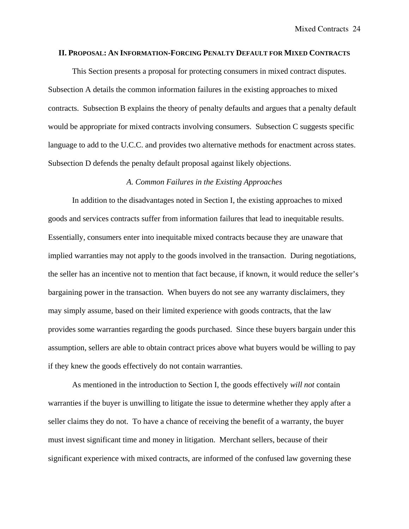#### **II. PROPOSAL: AN INFORMATION-FORCING PENALTY DEFAULT FOR MIXED CONTRACTS**

This Section presents a proposal for protecting consumers in mixed contract disputes. Subsection A details the common information failures in the existing approaches to mixed contracts. Subsection B explains the theory of penalty defaults and argues that a penalty default would be appropriate for mixed contracts involving consumers. Subsection C suggests specific language to add to the U.C.C. and provides two alternative methods for enactment across states. Subsection D defends the penalty default proposal against likely objections.

## *A. Common Failures in the Existing Approaches*

In addition to the disadvantages noted in Section I, the existing approaches to mixed goods and services contracts suffer from information failures that lead to inequitable results. Essentially, consumers enter into inequitable mixed contracts because they are unaware that implied warranties may not apply to the goods involved in the transaction. During negotiations, the seller has an incentive not to mention that fact because, if known, it would reduce the seller's bargaining power in the transaction. When buyers do not see any warranty disclaimers, they may simply assume, based on their limited experience with goods contracts, that the law provides some warranties regarding the goods purchased. Since these buyers bargain under this assumption, sellers are able to obtain contract prices above what buyers would be willing to pay if they knew the goods effectively do not contain warranties.

As mentioned in the introduction to Section I, the goods effectively *will not* contain warranties if the buyer is unwilling to litigate the issue to determine whether they apply after a seller claims they do not. To have a chance of receiving the benefit of a warranty, the buyer must invest significant time and money in litigation. Merchant sellers, because of their significant experience with mixed contracts, are informed of the confused law governing these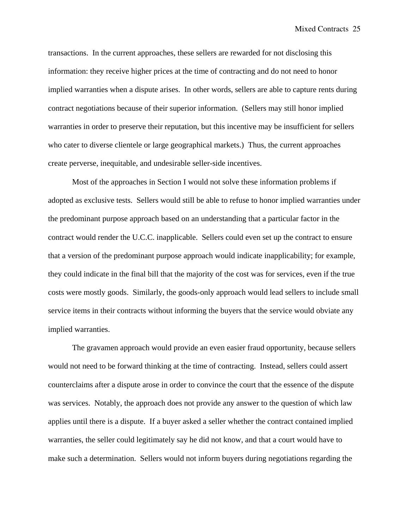transactions. In the current approaches, these sellers are rewarded for not disclosing this information: they receive higher prices at the time of contracting and do not need to honor implied warranties when a dispute arises. In other words, sellers are able to capture rents during contract negotiations because of their superior information. (Sellers may still honor implied warranties in order to preserve their reputation, but this incentive may be insufficient for sellers who cater to diverse clientele or large geographical markets.) Thus, the current approaches create perverse, inequitable, and undesirable seller-side incentives.

Most of the approaches in Section I would not solve these information problems if adopted as exclusive tests. Sellers would still be able to refuse to honor implied warranties under the predominant purpose approach based on an understanding that a particular factor in the contract would render the U.C.C. inapplicable. Sellers could even set up the contract to ensure that a version of the predominant purpose approach would indicate inapplicability; for example, they could indicate in the final bill that the majority of the cost was for services, even if the true costs were mostly goods. Similarly, the goods-only approach would lead sellers to include small service items in their contracts without informing the buyers that the service would obviate any implied warranties.

The gravamen approach would provide an even easier fraud opportunity, because sellers would not need to be forward thinking at the time of contracting. Instead, sellers could assert counterclaims after a dispute arose in order to convince the court that the essence of the dispute was services. Notably, the approach does not provide any answer to the question of which law applies until there is a dispute. If a buyer asked a seller whether the contract contained implied warranties, the seller could legitimately say he did not know, and that a court would have to make such a determination. Sellers would not inform buyers during negotiations regarding the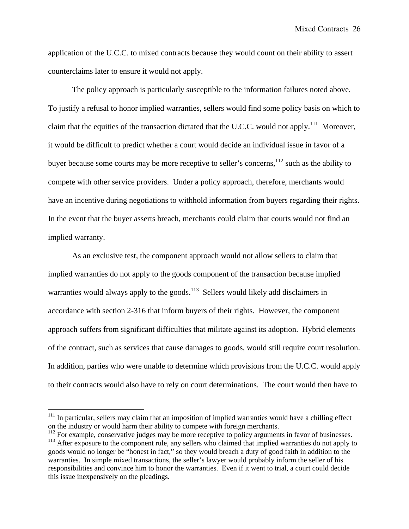Mixed Contracts 26

application of the U.C.C. to mixed contracts because they would count on their ability to assert counterclaims later to ensure it would not apply.

The policy approach is particularly susceptible to the information failures noted above. To justify a refusal to honor implied warranties, sellers would find some policy basis on which to claim that the equities of the transaction dictated that the U.C.C. would not apply.<sup>111</sup> Moreover, it would be difficult to predict whether a court would decide an individual issue in favor of a buyer because some courts may be more receptive to seller's concerns,<sup>112</sup> such as the ability to compete with other service providers. Under a policy approach, therefore, merchants would have an incentive during negotiations to withhold information from buyers regarding their rights. In the event that the buyer asserts breach, merchants could claim that courts would not find an implied warranty.

As an exclusive test, the component approach would not allow sellers to claim that implied warranties do not apply to the goods component of the transaction because implied warranties would always apply to the goods. $113$  Sellers would likely add disclaimers in accordance with section 2-316 that inform buyers of their rights. However, the component approach suffers from significant difficulties that militate against its adoption. Hybrid elements of the contract, such as services that cause damages to goods, would still require court resolution. In addition, parties who were unable to determine which provisions from the U.C.C. would apply to their contracts would also have to rely on court determinations. The court would then have to

 $111$  In particular, sellers may claim that an imposition of implied warranties would have a chilling effect on the industry or would harm their ability to compete with foreign merchants.

 $112$  For example, conservative judges may be more receptive to policy arguments in favor of businesses. <sup>113</sup> After exposure to the component rule, any sellers who claimed that implied warranties do not apply to goods would no longer be "honest in fact," so they would breach a duty of good faith in addition to the warranties. In simple mixed transactions, the seller's lawyer would probably inform the seller of his responsibilities and convince him to honor the warranties. Even if it went to trial, a court could decide this issue inexpensively on the pleadings.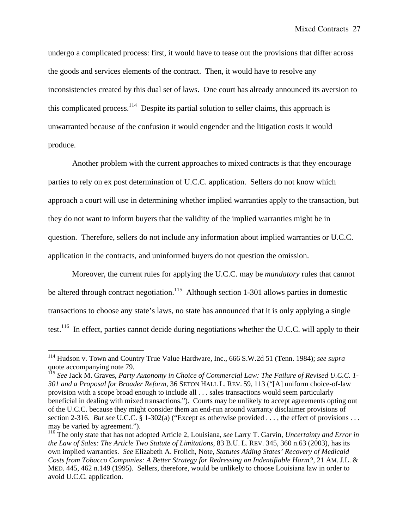undergo a complicated process: first, it would have to tease out the provisions that differ across the goods and services elements of the contract. Then, it would have to resolve any inconsistencies created by this dual set of laws. One court has already announced its aversion to this complicated process.<sup>114</sup> Despite its partial solution to seller claims, this approach is unwarranted because of the confusion it would engender and the litigation costs it would produce.

 Another problem with the current approaches to mixed contracts is that they encourage parties to rely on ex post determination of U.C.C. application. Sellers do not know which approach a court will use in determining whether implied warranties apply to the transaction, but they do not want to inform buyers that the validity of the implied warranties might be in question. Therefore, sellers do not include any information about implied warranties or U.C.C. application in the contracts, and uninformed buyers do not question the omission.

Moreover, the current rules for applying the U.C.C. may be *mandatory* rules that cannot be altered through contract negotiation.<sup>115</sup> Although section 1-301 allows parties in domestic transactions to choose any state's laws, no state has announced that it is only applying a single test.<sup>116</sup> In effect, parties cannot decide during negotiations whether the U.C.C. will apply to their

<u>.</u>

<sup>114</sup> Hudson v. Town and Country True Value Hardware, Inc., 666 S.W.2d 51 (Tenn. 1984); *see supra* quote accompanying note 79.

<sup>115</sup> *See* Jack M. Graves, *Party Autonomy in Choice of Commercial Law: The Failure of Revised U.C.C. 1- 301 and a Proposal for Broader Reform*, 36 SETON HALL L. REV. 59, 113 ("[A] uniform choice-of-law provision with a scope broad enough to include all . . . sales transactions would seem particularly beneficial in dealing with mixed transactions."). Courts may be unlikely to accept agreements opting out of the U.C.C. because they might consider them an end-run around warranty disclaimer provisions of section 2-316. *But see* U.C.C. § 1-302(a) ("Except as otherwise provided . . . , the effect of provisions . . . may be varied by agreement.").

<sup>116</sup> The only state that has not adopted Article 2, Louisiana, *see* Larry T. Garvin, *Uncertainty and Error in the Law of Sales: The Article Two Statute of Limitations*, 83 B.U. L. REV. 345, 360 n.63 (2003), has its own implied warranties. *See* Elizabeth A. Frolich, Note, *Statutes Aiding States' Recovery of Medicaid Costs from Tobacco Companies: A Better Strategy for Redressing an Indentifiable Harm?*, 21 AM. J.L. & MED. 445, 462 n.149 (1995). Sellers, therefore, would be unlikely to choose Louisiana law in order to avoid U.C.C. application.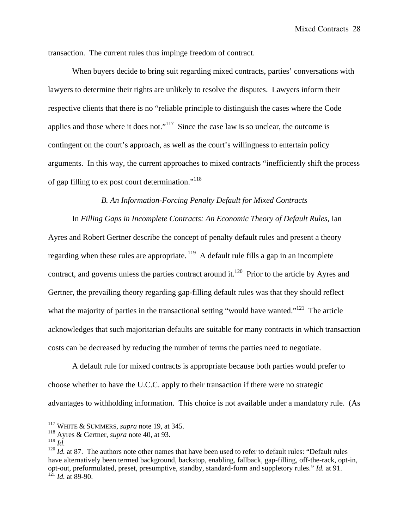transaction. The current rules thus impinge freedom of contract.

When buyers decide to bring suit regarding mixed contracts, parties' conversations with lawyers to determine their rights are unlikely to resolve the disputes. Lawyers inform their respective clients that there is no "reliable principle to distinguish the cases where the Code applies and those where it does not."<sup>117</sup> Since the case law is so unclear, the outcome is contingent on the court's approach, as well as the court's willingness to entertain policy arguments. In this way, the current approaches to mixed contracts "inefficiently shift the process of gap filling to ex post court determination."118

## *B. An Information-Forcing Penalty Default for Mixed Contracts*

In *Filling Gaps in Incomplete Contracts: An Economic Theory of Default Rules*, Ian Ayres and Robert Gertner describe the concept of penalty default rules and present a theory regarding when these rules are appropriate.  $119$  A default rule fills a gap in an incomplete contract, and governs unless the parties contract around it.<sup>120</sup> Prior to the article by Ayres and Gertner, the prevailing theory regarding gap-filling default rules was that they should reflect what the majority of parties in the transactional setting "would have wanted."<sup>121</sup> The article acknowledges that such majoritarian defaults are suitable for many contracts in which transaction costs can be decreased by reducing the number of terms the parties need to negotiate.

A default rule for mixed contracts is appropriate because both parties would prefer to choose whether to have the U.C.C. apply to their transaction if there were no strategic advantages to withholding information. This choice is not available under a mandatory rule. (As

<sup>117</sup> WHITE & SUMMERS, *supra* note 19, at 345.

<sup>118</sup> Ayres & Gertner, *supra* note 40, at 93.

<sup>119</sup> *Id.*

<sup>&</sup>lt;sup>120</sup> *Id.* at 87. The authors note other names that have been used to refer to default rules: "Default rules have alternatively been termed background, backstop, enabling, fallback, gap-filling, off-the-rack, opt-in, opt-out, preformulated, preset, presumptive, standby, standard-form and suppletory rules." *Id.* at 91.  $^{121}$  *Id.* at 89-90.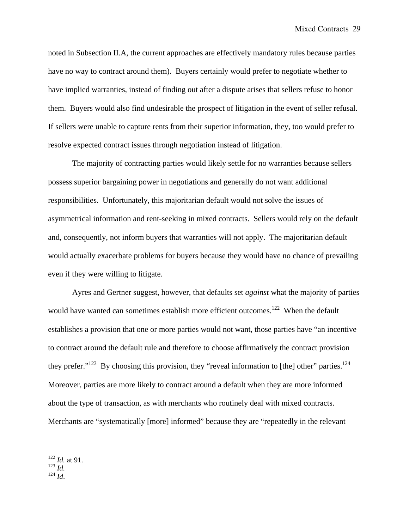noted in Subsection II.A, the current approaches are effectively mandatory rules because parties have no way to contract around them). Buyers certainly would prefer to negotiate whether to have implied warranties, instead of finding out after a dispute arises that sellers refuse to honor them. Buyers would also find undesirable the prospect of litigation in the event of seller refusal. If sellers were unable to capture rents from their superior information, they, too would prefer to resolve expected contract issues through negotiation instead of litigation.

The majority of contracting parties would likely settle for no warranties because sellers possess superior bargaining power in negotiations and generally do not want additional responsibilities. Unfortunately, this majoritarian default would not solve the issues of asymmetrical information and rent-seeking in mixed contracts. Sellers would rely on the default and, consequently, not inform buyers that warranties will not apply. The majoritarian default would actually exacerbate problems for buyers because they would have no chance of prevailing even if they were willing to litigate.

Ayres and Gertner suggest, however, that defaults set *against* what the majority of parties would have wanted can sometimes establish more efficient outcomes.<sup>122</sup> When the default establishes a provision that one or more parties would not want, those parties have "an incentive to contract around the default rule and therefore to choose affirmatively the contract provision they prefer." $123$  By choosing this provision, they "reveal information to [the] other" parties. $124$ Moreover, parties are more likely to contract around a default when they are more informed about the type of transaction, as with merchants who routinely deal with mixed contracts. Merchants are "systematically [more] informed" because they are "repeatedly in the relevant

1

<sup>124</sup> *Id*.

<sup>122</sup> *Id.* at 91.

<sup>123</sup> *Id.*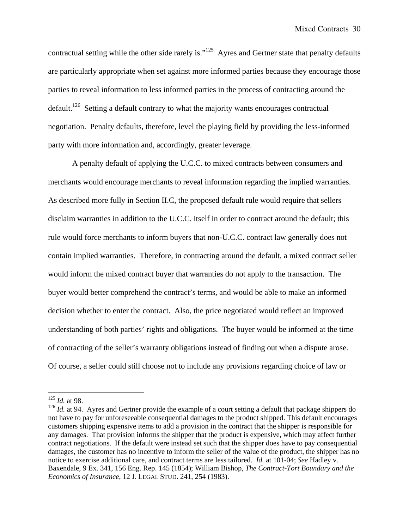contractual setting while the other side rarely is."<sup>125</sup> Ayres and Gertner state that penalty defaults are particularly appropriate when set against more informed parties because they encourage those parties to reveal information to less informed parties in the process of contracting around the default.<sup>126</sup> Setting a default contrary to what the majority wants encourages contractual negotiation. Penalty defaults, therefore, level the playing field by providing the less-informed party with more information and, accordingly, greater leverage.

A penalty default of applying the U.C.C. to mixed contracts between consumers and merchants would encourage merchants to reveal information regarding the implied warranties. As described more fully in Section II.C, the proposed default rule would require that sellers disclaim warranties in addition to the U.C.C. itself in order to contract around the default; this rule would force merchants to inform buyers that non-U.C.C. contract law generally does not contain implied warranties. Therefore, in contracting around the default, a mixed contract seller would inform the mixed contract buyer that warranties do not apply to the transaction. The buyer would better comprehend the contract's terms, and would be able to make an informed decision whether to enter the contract. Also, the price negotiated would reflect an improved understanding of both parties' rights and obligations. The buyer would be informed at the time of contracting of the seller's warranty obligations instead of finding out when a dispute arose. Of course, a seller could still choose not to include any provisions regarding choice of law or

<sup>125</sup> *Id.* at 98.

<sup>&</sup>lt;sup>126</sup> *Id.* at 94. Ayres and Gertner provide the example of a court setting a default that package shippers do not have to pay for unforeseeable consequential damages to the product shipped. This default encourages customers shipping expensive items to add a provision in the contract that the shipper is responsible for any damages. That provision informs the shipper that the product is expensive, which may affect further contract negotiations. If the default were instead set such that the shipper does have to pay consequential damages, the customer has no incentive to inform the seller of the value of the product, the shipper has no notice to exercise additional care, and contract terms are less tailored. *Id.* at 101-04; *See* Hadley v. Baxendale, 9 Ex. 341, 156 Eng. Rep. 145 (1854); William Bishop, *The Contract-Tort Boundary and the Economics of Insurance*, 12 J. LEGAL STUD. 241, 254 (1983).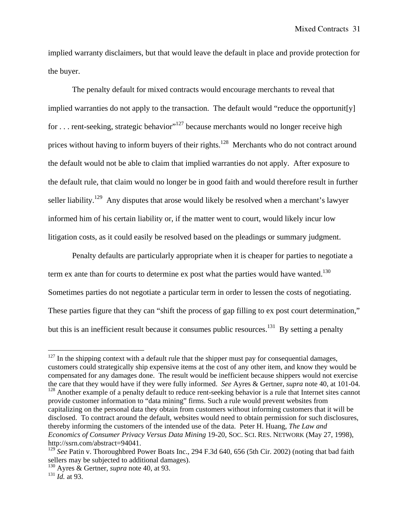implied warranty disclaimers, but that would leave the default in place and provide protection for the buyer.

The penalty default for mixed contracts would encourage merchants to reveal that implied warranties do not apply to the transaction. The default would "reduce the opportunit[y] for ... rent-seeking, strategic behavior"<sup>127</sup> because merchants would no longer receive high prices without having to inform buyers of their rights.<sup>128</sup> Merchants who do not contract around the default would not be able to claim that implied warranties do not apply. After exposure to the default rule, that claim would no longer be in good faith and would therefore result in further seller liability.<sup>129</sup> Any disputes that arose would likely be resolved when a merchant's lawyer informed him of his certain liability or, if the matter went to court, would likely incur low litigation costs, as it could easily be resolved based on the pleadings or summary judgment.

Penalty defaults are particularly appropriate when it is cheaper for parties to negotiate a term ex ante than for courts to determine ex post what the parties would have wanted.<sup>130</sup> Sometimes parties do not negotiate a particular term in order to lessen the costs of negotiating. These parties figure that they can "shift the process of gap filling to ex post court determination," but this is an inefficient result because it consumes public resources.<sup>131</sup> By setting a penalty

 $127$  In the shipping context with a default rule that the shipper must pay for consequential damages, customers could strategically ship expensive items at the cost of any other item, and know they would be compensated for any damages done. The result would be inefficient because shippers would not exercise the care that they would have if they were fully informed. *See* Ayres & Gertner, *supra* note 40, at 101-04.

<sup>&</sup>lt;sup>128</sup> Another example of a penalty default to reduce rent-seeking behavior is a rule that Internet sites cannot provide customer information to "data mining" firms. Such a rule would prevent websites from capitalizing on the personal data they obtain from customers without informing customers that it will be disclosed. To contract around the default, websites would need to obtain permission for such disclosures, thereby informing the customers of the intended use of the data. Peter H. Huang, *The Law and Economics of Consumer Privacy Versus Data Mining* 19-20, SOC. SCI. RES. NETWORK (May 27, 1998), http://ssrn.com/abstract=94041.

<sup>&</sup>lt;sup>129</sup> *See* Patin v. Thoroughbred Power Boats Inc., 294 F.3d 640, 656 (5th Cir. 2002) (noting that bad faith sellers may be subjected to additional damages).

<sup>130</sup> Ayres & Gertner, *supra* note 40, at 93.

<sup>131</sup> *Id.* at 93.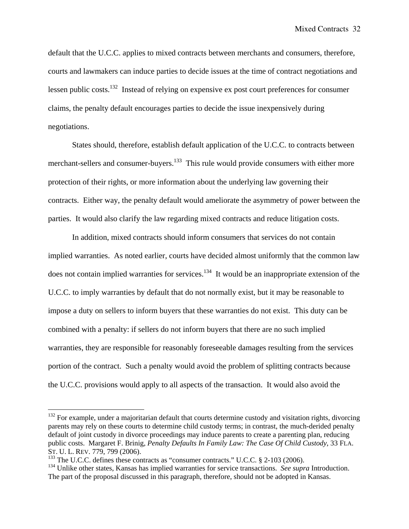default that the U.C.C. applies to mixed contracts between merchants and consumers, therefore, courts and lawmakers can induce parties to decide issues at the time of contract negotiations and lessen public costs.132 Instead of relying on expensive ex post court preferences for consumer claims, the penalty default encourages parties to decide the issue inexpensively during negotiations.

States should, therefore, establish default application of the U.C.C. to contracts between merchant-sellers and consumer-buyers.<sup>133</sup> This rule would provide consumers with either more protection of their rights, or more information about the underlying law governing their contracts. Either way, the penalty default would ameliorate the asymmetry of power between the parties. It would also clarify the law regarding mixed contracts and reduce litigation costs.

In addition, mixed contracts should inform consumers that services do not contain implied warranties. As noted earlier, courts have decided almost uniformly that the common law does not contain implied warranties for services.<sup>134</sup> It would be an inappropriate extension of the U.C.C. to imply warranties by default that do not normally exist, but it may be reasonable to impose a duty on sellers to inform buyers that these warranties do not exist. This duty can be combined with a penalty: if sellers do not inform buyers that there are no such implied warranties, they are responsible for reasonably foreseeable damages resulting from the services portion of the contract. Such a penalty would avoid the problem of splitting contracts because the U.C.C. provisions would apply to all aspects of the transaction. It would also avoid the

<sup>&</sup>lt;sup>132</sup> For example, under a majoritarian default that courts determine custody and visitation rights, divorcing parents may rely on these courts to determine child custody terms; in contrast, the much-derided penalty default of joint custody in divorce proceedings may induce parents to create a parenting plan, reducing public costs. Margaret F. Brinig, *Penalty Defaults In Family Law: The Case Of Child Custody*, 33 FLA. ST. U. L. REV. 779, 799 (2006).

<sup>&</sup>lt;sup>133</sup> The U.C.C. defines these contracts as "consumer contracts." U.C.C. § 2-103 (2006).

<sup>134</sup> Unlike other states, Kansas has implied warranties for service transactions. *See supra* Introduction. The part of the proposal discussed in this paragraph, therefore, should not be adopted in Kansas.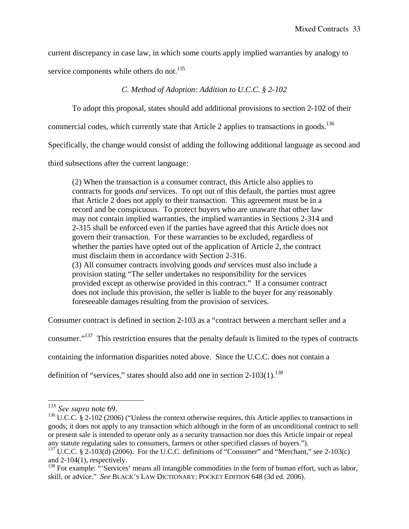current discrepancy in case law, in which some courts apply implied warranties by analogy to

service components while others do not.<sup>135</sup>

*C. Method of Adoption: Addition to U.C.C. § 2-102* 

To adopt this proposal, states should add additional provisions to section 2-102 of their

commercial codes, which currently state that Article 2 applies to transactions in goods.<sup>136</sup>

Specifically, the change would consist of adding the following additional language as second and

third subsections after the current language:

(2) When the transaction is a consumer contract, this Article also applies to contracts for goods *and* services. To opt out of this default, the parties must agree that Article 2 does not apply to their transaction. This agreement must be in a record and be conspicuous. To protect buyers who are unaware that other law may not contain implied warranties, the implied warranties in Sections 2-314 and 2-315 shall be enforced even if the parties have agreed that this Article does not govern their transaction. For these warranties to be excluded, regardless of whether the parties have opted out of the application of Article 2, the contract must disclaim them in accordance with Section 2-316. (3) All consumer contracts involving goods *and* services must also include a provision stating "The seller undertakes no responsibility for the services provided except as otherwise provided in this contract." If a consumer contract does not include this provision, the seller is liable to the buyer for any reasonably foreseeable damages resulting from the provision of services.

Consumer contract is defined in section 2-103 as a "contract between a merchant seller and a

consumer."137 This restriction ensures that the penalty default is limited to the types of contracts

containing the information disparities noted above. Since the U.C.C. does not contain a

definition of "services," states should also add one in section  $2-103(1)$ .<sup>138</sup>

<sup>135</sup> *See supra* note 69.

<sup>&</sup>lt;sup>136</sup> U.C.C. § 2-102 (2006) ("Unless the context otherwise requires, this Article applies to transactions in goods; it does not apply to any transaction which although in the form of an unconditional contract to sell or present sale is intended to operate only as a security transaction nor does this Article impair or repeal any statute regulating sales to consumers, farmers or other specified classes of buyers.").

 $137 \text{ U.C.C. }$  § 2-103(d) (2006). For the U.C.C. definitions of "Consumer" and "Merchant," see 2-103(c) and 2-104(1), respectively.

<sup>&</sup>lt;sup>138</sup> For example: "Services' means all intangible commodities in the form of human effort, such as labor, skill, or advice." *See* BLACK'S LAW DICTIONARY: POCKET EDITION 648 (3d ed. 2006).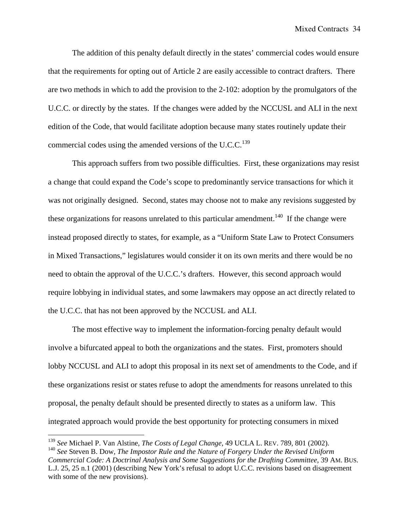The addition of this penalty default directly in the states' commercial codes would ensure that the requirements for opting out of Article 2 are easily accessible to contract drafters. There are two methods in which to add the provision to the 2-102: adoption by the promulgators of the U.C.C. or directly by the states. If the changes were added by the NCCUSL and ALI in the next edition of the Code, that would facilitate adoption because many states routinely update their commercial codes using the amended versions of the U.C.C.<sup>139</sup>

This approach suffers from two possible difficulties. First, these organizations may resist a change that could expand the Code's scope to predominantly service transactions for which it was not originally designed. Second, states may choose not to make any revisions suggested by these organizations for reasons unrelated to this particular amendment.<sup>140</sup> If the change were instead proposed directly to states, for example, as a "Uniform State Law to Protect Consumers in Mixed Transactions," legislatures would consider it on its own merits and there would be no need to obtain the approval of the U.C.C.'s drafters. However, this second approach would require lobbying in individual states, and some lawmakers may oppose an act directly related to the U.C.C. that has not been approved by the NCCUSL and ALI.

The most effective way to implement the information-forcing penalty default would involve a bifurcated appeal to both the organizations and the states. First, promoters should lobby NCCUSL and ALI to adopt this proposal in its next set of amendments to the Code, and if these organizations resist or states refuse to adopt the amendments for reasons unrelated to this proposal, the penalty default should be presented directly to states as a uniform law. This integrated approach would provide the best opportunity for protecting consumers in mixed

<sup>139</sup> *See* Michael P. Van Alstine, *The Costs of Legal Change*, 49 UCLA L. REV. 789, 801 (2002).

<sup>140</sup> *See* Steven B. Dow, *The Impostor Rule and the Nature of Forgery Under the Revised Uniform Commercial Code: A Doctrinal Analysis and Some Suggestions for the Drafting Committee*, 39 AM. BUS. L.J. 25, 25 n.1 (2001) (describing New York's refusal to adopt U.C.C. revisions based on disagreement with some of the new provisions).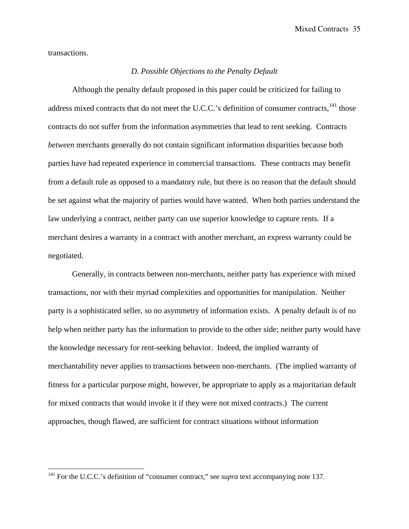transactions.

1

## *D. Possible Objections to the Penalty Default*

 Although the penalty default proposed in this paper could be criticized for failing to address mixed contracts that do not meet the U.C.C.'s definition of consumer contracts,<sup>141</sup> those contracts do not suffer from the information asymmetries that lead to rent seeking. Contracts *between* merchants generally do not contain significant information disparities because both parties have had repeated experience in commercial transactions. These contracts may benefit from a default rule as opposed to a mandatory rule, but there is no reason that the default should be set against what the majority of parties would have wanted. When both parties understand the law underlying a contract, neither party can use superior knowledge to capture rents. If a merchant desires a warranty in a contract with another merchant, an express warranty could be negotiated.

Generally, in contracts between non-merchants, neither party has experience with mixed transactions, nor with their myriad complexities and opportunities for manipulation. Neither party is a sophisticated seller, so no asymmetry of information exists. A penalty default is of no help when neither party has the information to provide to the other side; neither party would have the knowledge necessary for rent-seeking behavior. Indeed, the implied warranty of merchantability never applies to transactions between non-merchants. (The implied warranty of fitness for a particular purpose might, however, be appropriate to apply as a majoritarian default for mixed contracts that would invoke it if they were not mixed contracts.) The current approaches, though flawed, are sufficient for contract situations without information

<sup>&</sup>lt;sup>141</sup> For the U.C.C.'s definition of "consumer contract," see *supra* text accompanying note 137.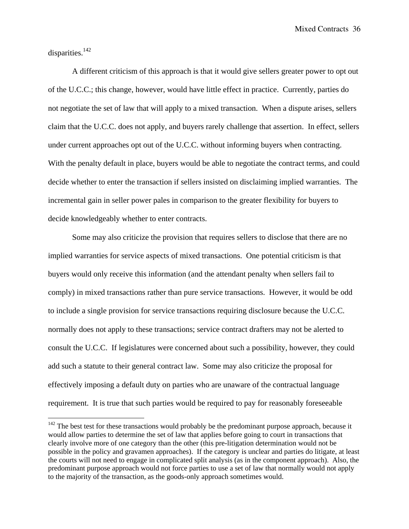Mixed Contracts 36

disparities.<sup>142</sup>

 $\overline{a}$ 

 A different criticism of this approach is that it would give sellers greater power to opt out of the U.C.C.; this change, however, would have little effect in practice. Currently, parties do not negotiate the set of law that will apply to a mixed transaction. When a dispute arises, sellers claim that the U.C.C. does not apply, and buyers rarely challenge that assertion. In effect, sellers under current approaches opt out of the U.C.C. without informing buyers when contracting. With the penalty default in place, buyers would be able to negotiate the contract terms, and could decide whether to enter the transaction if sellers insisted on disclaiming implied warranties. The incremental gain in seller power pales in comparison to the greater flexibility for buyers to decide knowledgeably whether to enter contracts.

 Some may also criticize the provision that requires sellers to disclose that there are no implied warranties for service aspects of mixed transactions. One potential criticism is that buyers would only receive this information (and the attendant penalty when sellers fail to comply) in mixed transactions rather than pure service transactions. However, it would be odd to include a single provision for service transactions requiring disclosure because the U.C.C. normally does not apply to these transactions; service contract drafters may not be alerted to consult the U.C.C. If legislatures were concerned about such a possibility, however, they could add such a statute to their general contract law. Some may also criticize the proposal for effectively imposing a default duty on parties who are unaware of the contractual language requirement. It is true that such parties would be required to pay for reasonably foreseeable

 $142$  The best test for these transactions would probably be the predominant purpose approach, because it would allow parties to determine the set of law that applies before going to court in transactions that clearly involve more of one category than the other (this pre-litigation determination would not be possible in the policy and gravamen approaches). If the category is unclear and parties do litigate, at least the courts will not need to engage in complicated split analysis (as in the component approach). Also, the predominant purpose approach would not force parties to use a set of law that normally would not apply to the majority of the transaction, as the goods-only approach sometimes would.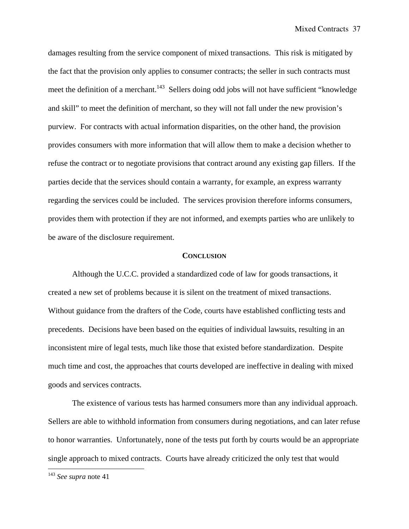damages resulting from the service component of mixed transactions. This risk is mitigated by the fact that the provision only applies to consumer contracts; the seller in such contracts must meet the definition of a merchant.<sup>143</sup> Sellers doing odd jobs will not have sufficient "knowledge" and skill" to meet the definition of merchant, so they will not fall under the new provision's purview. For contracts with actual information disparities, on the other hand, the provision provides consumers with more information that will allow them to make a decision whether to refuse the contract or to negotiate provisions that contract around any existing gap fillers. If the parties decide that the services should contain a warranty, for example, an express warranty regarding the services could be included. The services provision therefore informs consumers, provides them with protection if they are not informed, and exempts parties who are unlikely to be aware of the disclosure requirement.

#### **CONCLUSION**

 Although the U.C.C. provided a standardized code of law for goods transactions, it created a new set of problems because it is silent on the treatment of mixed transactions. Without guidance from the drafters of the Code, courts have established conflicting tests and precedents. Decisions have been based on the equities of individual lawsuits, resulting in an inconsistent mire of legal tests, much like those that existed before standardization. Despite much time and cost, the approaches that courts developed are ineffective in dealing with mixed goods and services contracts.

 The existence of various tests has harmed consumers more than any individual approach. Sellers are able to withhold information from consumers during negotiations, and can later refuse to honor warranties. Unfortunately, none of the tests put forth by courts would be an appropriate single approach to mixed contracts. Courts have already criticized the only test that would

<sup>143</sup> *See supra* note 41